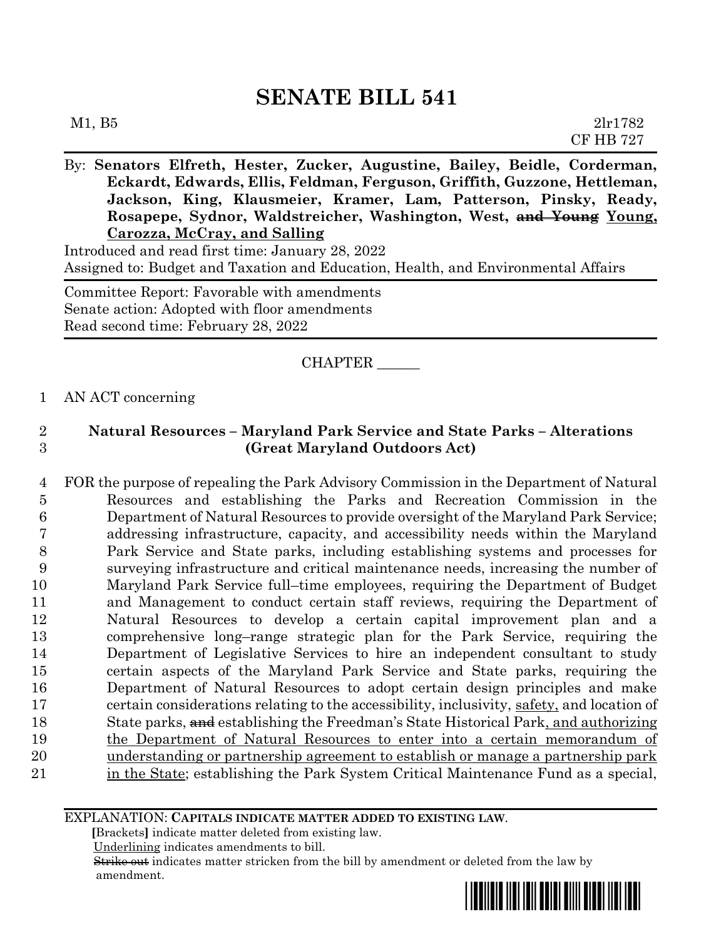| M1, B5                                                                                                                                                                                                                                                                                                                               | 21r1782<br><b>CF HB 727</b> |
|--------------------------------------------------------------------------------------------------------------------------------------------------------------------------------------------------------------------------------------------------------------------------------------------------------------------------------------|-----------------------------|
| By: Senators Elfreth, Hester, Zucker, Augustine, Bailey, Beidle, Corderman,<br>Eckardt, Edwards, Ellis, Feldman, Ferguson, Griffith, Guzzone, Hettleman,<br>Jackson, King, Klausmeier, Kramer, Lam, Patterson, Pinsky, Ready,<br>Rosapepe, Sydnor, Waldstreicher, Washington, West, and Young Young,<br>Carozza, McCray, and Salling |                             |

Introduced and read first time: January 28, 2022 Assigned to: Budget and Taxation and Education, Health, and Environmental Affairs

Committee Report: Favorable with amendments Senate action: Adopted with floor amendments Read second time: February 28, 2022

CHAPTER \_\_\_\_\_\_

### 1 AN ACT concerning

# 2 **Natural Resources – Maryland Park Service and State Parks – Alterations**  3 **(Great Maryland Outdoors Act)**

 FOR the purpose of repealing the Park Advisory Commission in the Department of Natural Resources and establishing the Parks and Recreation Commission in the Department of Natural Resources to provide oversight of the Maryland Park Service; addressing infrastructure, capacity, and accessibility needs within the Maryland Park Service and State parks, including establishing systems and processes for surveying infrastructure and critical maintenance needs, increasing the number of Maryland Park Service full–time employees, requiring the Department of Budget and Management to conduct certain staff reviews, requiring the Department of Natural Resources to develop a certain capital improvement plan and a comprehensive long–range strategic plan for the Park Service, requiring the Department of Legislative Services to hire an independent consultant to study certain aspects of the Maryland Park Service and State parks, requiring the Department of Natural Resources to adopt certain design principles and make certain considerations relating to the accessibility, inclusivity, safety, and location of 18 State parks,  $\frac{1}{2}$  establishing the Freedman's State Historical Park, and authorizing the Department of Natural Resources to enter into a certain memorandum of understanding or partnership agreement to establish or manage a partnership park 21 in the State; establishing the Park System Critical Maintenance Fund as a special,

#### EXPLANATION: **CAPITALS INDICATE MATTER ADDED TO EXISTING LAW**.

 **[**Brackets**]** indicate matter deleted from existing law.

Underlining indicates amendments to bill.

 Strike out indicates matter stricken from the bill by amendment or deleted from the law by amendment.

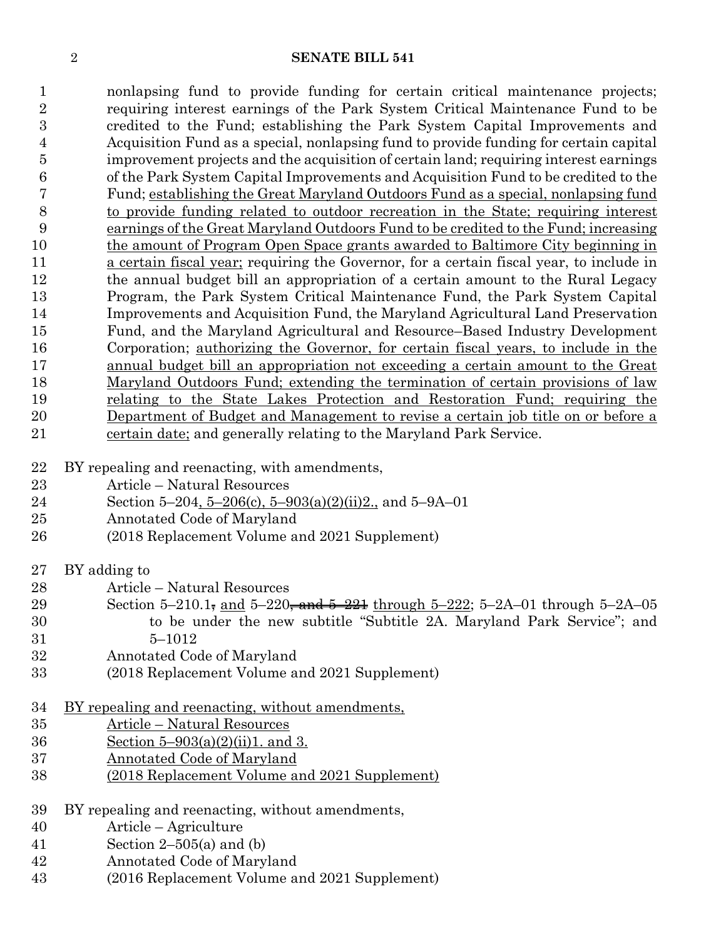nonlapsing fund to provide funding for certain critical maintenance projects; requiring interest earnings of the Park System Critical Maintenance Fund to be credited to the Fund; establishing the Park System Capital Improvements and Acquisition Fund as a special, nonlapsing fund to provide funding for certain capital improvement projects and the acquisition of certain land; requiring interest earnings of the Park System Capital Improvements and Acquisition Fund to be credited to the Fund; establishing the Great Maryland Outdoors Fund as a special, nonlapsing fund to provide funding related to outdoor recreation in the State; requiring interest earnings of the Great Maryland Outdoors Fund to be credited to the Fund; increasing the amount of Program Open Space grants awarded to Baltimore City beginning in 11 a certain fiscal year; requiring the Governor, for a certain fiscal year, to include in the annual budget bill an appropriation of a certain amount to the Rural Legacy Program, the Park System Critical Maintenance Fund, the Park System Capital Improvements and Acquisition Fund, the Maryland Agricultural Land Preservation Fund, and the Maryland Agricultural and Resource–Based Industry Development Corporation; authorizing the Governor, for certain fiscal years, to include in the annual budget bill an appropriation not exceeding a certain amount to the Great Maryland Outdoors Fund; extending the termination of certain provisions of law 19 relating to the State Lakes Protection and Restoration Fund; requiring the Department of Budget and Management to revise a certain job title on or before a certain date; and generally relating to the Maryland Park Service.

- BY repealing and reenacting, with amendments,
- Article Natural Resources
- Section 5–204, 5–206(c), 5–903(a)(2)(ii)2., and 5–9A–01
- Annotated Code of Maryland
- (2018 Replacement Volume and 2021 Supplement)
- BY adding to
- Article Natural Resources
- 29 Section 5–210.1, and 5–220, and  $\frac{5-221}{2}$  through 5–222; 5–2A–01 through 5–2A–05 to be under the new subtitle "Subtitle 2A. Maryland Park Service"; and 5–1012
- Annotated Code of Maryland
- (2018 Replacement Volume and 2021 Supplement)
- BY repealing and reenacting, without amendments,
- Article Natural Resources
- Section 5–903(a)(2)(ii)1. and 3.
- Annotated Code of Maryland
- (2018 Replacement Volume and 2021 Supplement)
- BY repealing and reenacting, without amendments,
- Article Agriculture
- Section 2–505(a) and (b)
- Annotated Code of Maryland
- (2016 Replacement Volume and 2021 Supplement)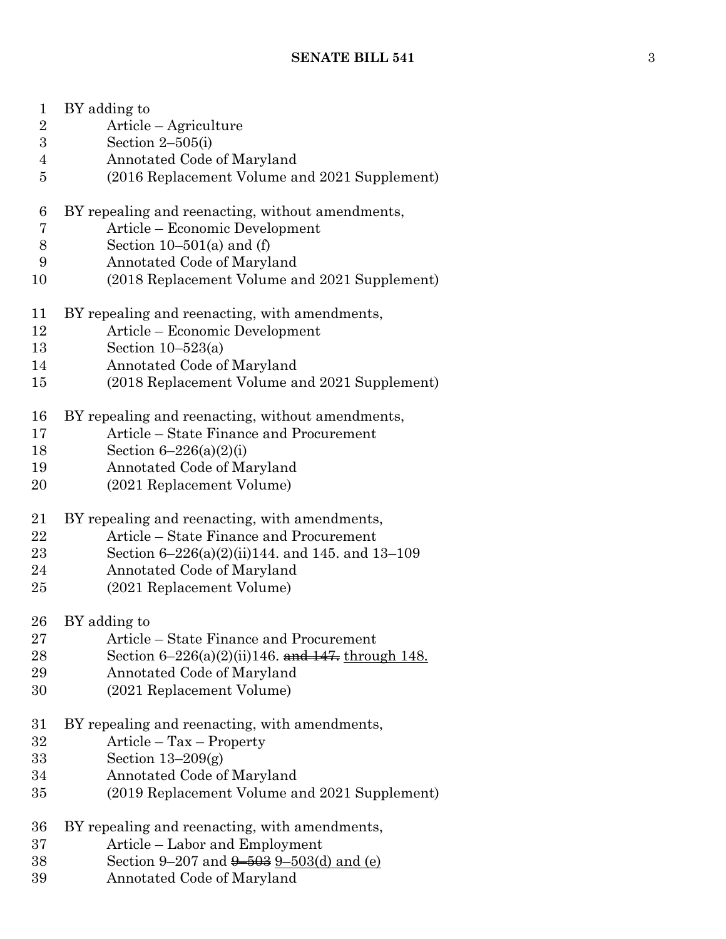| $\mathbf{1}$   | BY adding to                                            |
|----------------|---------------------------------------------------------|
| $\overline{2}$ | Article – Agriculture                                   |
| 3              | Section $2-505(i)$                                      |
| $\overline{4}$ | Annotated Code of Maryland                              |
| $\overline{5}$ | (2016 Replacement Volume and 2021 Supplement)           |
| 6              | BY repealing and reenacting, without amendments,        |
| 7              | Article – Economic Development                          |
| 8              | Section $10-501(a)$ and (f)                             |
| 9              | Annotated Code of Maryland                              |
| 10             | (2018 Replacement Volume and 2021 Supplement)           |
| 11             | BY repealing and reenacting, with amendments,           |
| 12             |                                                         |
|                | Article – Economic Development                          |
| 13             | Section $10-523(a)$                                     |
| 14             | Annotated Code of Maryland                              |
| 15             | (2018 Replacement Volume and 2021 Supplement)           |
| 16             | BY repealing and reenacting, without amendments,        |
| 17             | Article – State Finance and Procurement                 |
| 18             | Section $6 - 226(a)(2)(i)$                              |
| 19             | Annotated Code of Maryland                              |
| 20             | (2021 Replacement Volume)                               |
|                |                                                         |
|                |                                                         |
| 21             | BY repealing and reenacting, with amendments,           |
| 22             | Article – State Finance and Procurement                 |
| 23             | Section $6-226(a)(2)(ii)144$ , and 145, and 13-109      |
| 24             | Annotated Code of Maryland                              |
| 25             |                                                         |
|                | (2021 Replacement Volume)                               |
| 26             | BY adding to                                            |
| $\rm 27$       | Article – State Finance and Procurement                 |
| 28             | Section $6-226(a)(2)(ii)146$ . and $147$ , through 148. |
| 29             | Annotated Code of Maryland                              |
| 30             | (2021 Replacement Volume)                               |
|                |                                                         |
| 31             | BY repealing and reenacting, with amendments,           |
| 32             | $Article - Tax - Property$                              |
| 33             | Section $13-209(g)$                                     |
| 34             | Annotated Code of Maryland                              |
| 35             | (2019 Replacement Volume and 2021 Supplement)           |
| 36             | BY repealing and reenacting, with amendments,           |
| 37             | Article – Labor and Employment                          |
| 38             | Section 9–207 and $9-503$ 9–503(d) and (e)              |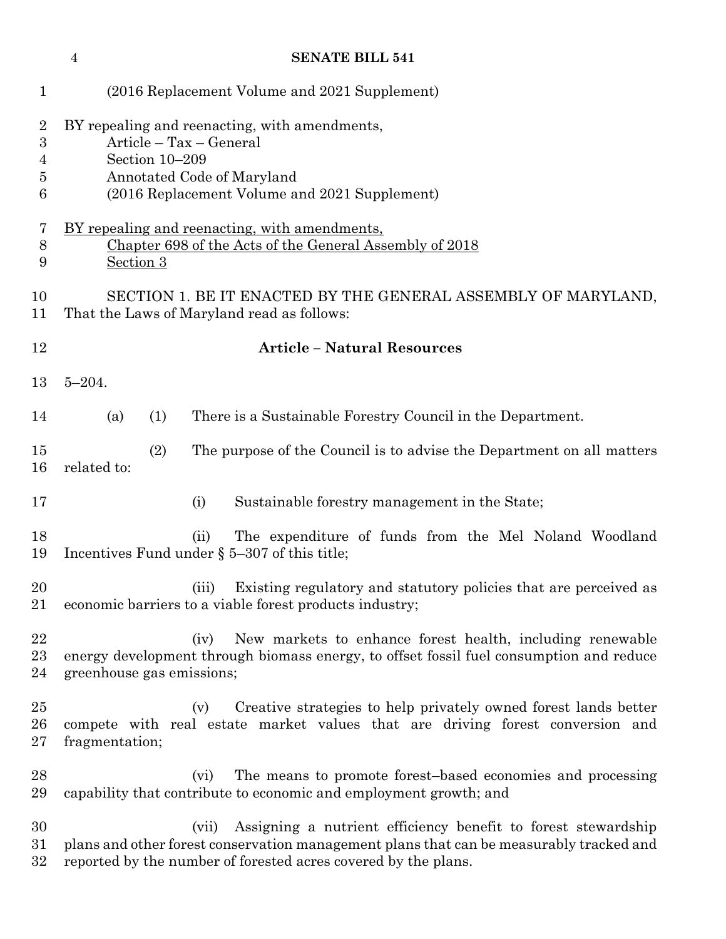|                                    | <b>SENATE BILL 541</b><br>$\overline{4}$                                                                                                                                                  |  |
|------------------------------------|-------------------------------------------------------------------------------------------------------------------------------------------------------------------------------------------|--|
| $\mathbf{1}$                       | (2016 Replacement Volume and 2021 Supplement)                                                                                                                                             |  |
| $\overline{2}$<br>3<br>4<br>5<br>6 | BY repealing and reenacting, with amendments,<br>Article - Tax - General<br>Section 10-209<br>Annotated Code of Maryland<br>(2016 Replacement Volume and 2021 Supplement)                 |  |
| 7<br>8<br>9                        | <u>BY repealing and reenacting, with amendments,</u><br>Chapter 698 of the Acts of the General Assembly of 2018<br>Section 3                                                              |  |
| 10<br>11                           | SECTION 1. BE IT ENACTED BY THE GENERAL ASSEMBLY OF MARYLAND,<br>That the Laws of Maryland read as follows:                                                                               |  |
| 12                                 | <b>Article - Natural Resources</b>                                                                                                                                                        |  |
| 13                                 | $5 - 204.$                                                                                                                                                                                |  |
| 14                                 | There is a Sustainable Forestry Council in the Department.<br>(a)<br>(1)                                                                                                                  |  |
| 15<br>16                           | (2)<br>The purpose of the Council is to advise the Department on all matters<br>related to:                                                                                               |  |
| 17                                 | (i)<br>Sustainable forestry management in the State;                                                                                                                                      |  |
| 18<br>19                           | The expenditure of funds from the Mel Noland Woodland<br>(ii)<br>Incentives Fund under $\S$ 5-307 of this title;                                                                          |  |
| 20<br>21                           | Existing regulatory and statutory policies that are perceived as<br>(iii)<br>economic barriers to a viable forest products industry;                                                      |  |
| 22<br>$^{23}$<br>24                | New markets to enhance forest health, including renewable<br>(iv)<br>energy development through biomass energy, to offset fossil fuel consumption and reduce<br>greenhouse gas emissions; |  |
| 25<br>26<br>$27\,$                 | Creative strategies to help privately owned forest lands better<br>(v)<br>compete with real estate market values that are driving forest conversion and<br>fragmentation;                 |  |
| 28<br>29                           | The means to promote forest-based economies and processing<br>(vi)<br>capability that contribute to economic and employment growth; and                                                   |  |
| 30<br>$31\,$                       | Assigning a nutrient efficiency benefit to forest stewardship<br>(vii)<br>plans and other forest conservation management plans that can be measurably tracked and                         |  |

reported by the number of forested acres covered by the plans.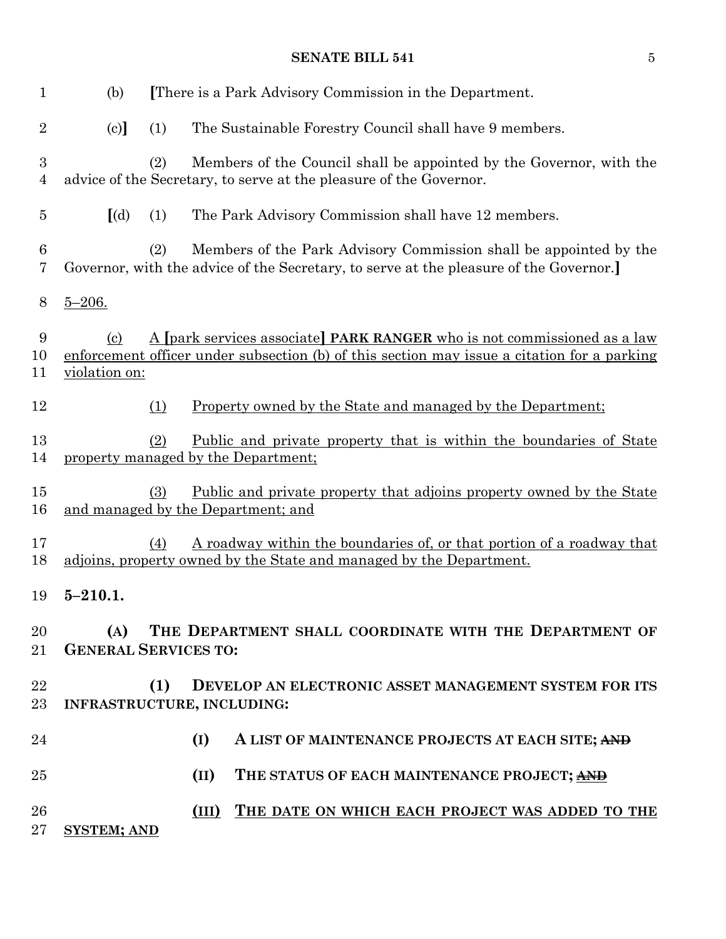| $\mathbf{1}$        | (b)                                           |     | There is a Park Advisory Commission in the Department.                                                                                                                  |
|---------------------|-----------------------------------------------|-----|-------------------------------------------------------------------------------------------------------------------------------------------------------------------------|
| $\overline{2}$      | (c)                                           | (1) | The Sustainable Forestry Council shall have 9 members.                                                                                                                  |
| 3<br>$\overline{4}$ |                                               | (2) | Members of the Council shall be appointed by the Governor, with the<br>advice of the Secretary, to serve at the pleasure of the Governor.                               |
| $\overline{5}$      | $\left[$ (d)                                  | (1) | The Park Advisory Commission shall have 12 members.                                                                                                                     |
| 6<br>7              |                                               | (2) | Members of the Park Advisory Commission shall be appointed by the<br>Governor, with the advice of the Secretary, to serve at the pleasure of the Governor.              |
| 8                   | $5 - 206.$                                    |     |                                                                                                                                                                         |
| 9<br>10<br>11       | $\left( \frac{c}{c} \right)$<br>violation on: |     | A [park services associate] PARK RANGER who is not commissioned as a law<br>enforcement officer under subsection (b) of this section may issue a citation for a parking |
| 12                  |                                               | (1) | <u>Property owned by the State and managed by the Department:</u>                                                                                                       |
| 13<br>14            |                                               | (2) | <u>Public and private property that is within the boundaries of State</u><br>property managed by the Department;                                                        |
| 15<br>16            |                                               | (3) | <u>Public and private property that adjoins property owned by the State</u><br>and managed by the Department; and                                                       |
| 17<br>18            |                                               | (4) | A roadway within the boundaries of, or that portion of a roadway that<br>adjoins, property owned by the State and managed by the Department.                            |
| 19                  | $5 - 210.1.$                                  |     |                                                                                                                                                                         |
| 20<br>$21\,$        | (A)<br><b>GENERAL SERVICES TO:</b>            |     | THE DEPARTMENT SHALL COORDINATE WITH THE DEPARTMENT OF                                                                                                                  |
| 22<br>23            |                                               | (1) | DEVELOP AN ELECTRONIC ASSET MANAGEMENT SYSTEM FOR ITS<br>INFRASTRUCTURE, INCLUDING:                                                                                     |
| 24                  |                                               |     | (I)<br>A LIST OF MAINTENANCE PROJECTS AT EACH SITE; AND                                                                                                                 |
| 25                  |                                               |     | (II)<br>THE STATUS OF EACH MAINTENANCE PROJECT; AND                                                                                                                     |
| 26<br>27            | <b>SYSTEM; AND</b>                            |     | THE DATE ON WHICH EACH PROJECT WAS ADDED TO THE<br>(III)                                                                                                                |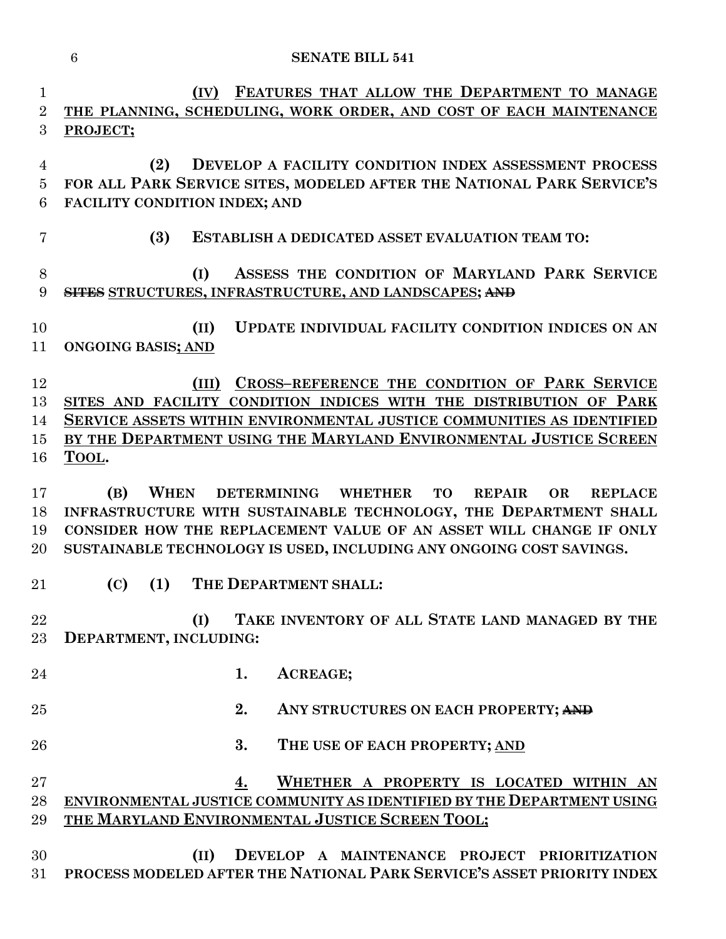|                            | $6\phantom{.}6$<br><b>SENATE BILL 541</b>                                                                                                                                                                                                                                                                               |
|----------------------------|-------------------------------------------------------------------------------------------------------------------------------------------------------------------------------------------------------------------------------------------------------------------------------------------------------------------------|
| 1<br>$\overline{2}$<br>3   | FEATURES THAT ALLOW THE DEPARTMENT TO MANAGE<br>(IV)<br>THE PLANNING, SCHEDULING, WORK ORDER, AND COST OF EACH MAINTENANCE<br>PROJECT;                                                                                                                                                                                  |
| 4<br>$\overline{5}$<br>6   | DEVELOP A FACILITY CONDITION INDEX ASSESSMENT PROCESS<br>(2)<br>FOR ALL PARK SERVICE SITES, MODELED AFTER THE NATIONAL PARK SERVICE'S<br>FACILITY CONDITION INDEX; AND                                                                                                                                                  |
| 7                          | (3)<br>ESTABLISH A DEDICATED ASSET EVALUATION TEAM TO:                                                                                                                                                                                                                                                                  |
| 8<br>9                     | ASSESS THE CONDITION OF MARYLAND PARK SERVICE<br>(I)<br>SITES STRUCTURES, INFRASTRUCTURE, AND LANDSCAPES; AND                                                                                                                                                                                                           |
| 10<br>11                   | UPDATE INDIVIDUAL FACILITY CONDITION INDICES ON AN<br>(II)<br><b>ONGOING BASIS; AND</b>                                                                                                                                                                                                                                 |
| 12<br>13<br>14<br>15<br>16 | CROSS-REFERENCE THE CONDITION OF PARK SERVICE<br>(III)<br>SITES AND FACILITY CONDITION INDICES WITH THE DISTRIBUTION OF PARK<br>SERVICE ASSETS WITHIN ENVIRONMENTAL JUSTICE COMMUNITIES AS IDENTIFIED<br>BY THE DEPARTMENT USING THE MARYLAND ENVIRONMENTAL JUSTICE SCREEN<br>TOOL.                                     |
| 17<br>18<br>19<br>20       | <b>WHEN</b><br>(B)<br>DETERMINING WHETHER<br><b>TO</b><br><b>REPAIR</b><br><b>OR</b><br><b>REPLACE</b><br>INFRASTRUCTURE WITH SUSTAINABLE TECHNOLOGY, THE DEPARTMENT SHALL<br>CONSIDER HOW THE REPLACEMENT VALUE OF AN ASSET WILL CHANGE IF ONLY<br>SUSTAINABLE TECHNOLOGY IS USED, INCLUDING ANY ONGOING COST SAVINGS. |
| 21                         | $(C)$ $(1)$<br>THE DEPARTMENT SHALL:                                                                                                                                                                                                                                                                                    |
| 22<br>23                   | TAKE INVENTORY OF ALL STATE LAND MANAGED BY THE<br>(I)<br>DEPARTMENT, INCLUDING:                                                                                                                                                                                                                                        |
| 24                         | 1.<br>ACREAGE;                                                                                                                                                                                                                                                                                                          |
| 25                         | 2.<br>ANY STRUCTURES ON EACH PROPERTY; AND                                                                                                                                                                                                                                                                              |
| 26                         | 3.<br>THE USE OF EACH PROPERTY; AND                                                                                                                                                                                                                                                                                     |
| $27\,$<br>28<br>29         | WHETHER A PROPERTY IS LOCATED WITHIN AN<br>4.<br>ENVIRONMENTAL JUSTICE COMMUNITY AS IDENTIFIED BY THE DEPARTMENT USING<br>THE MARYLAND ENVIRONMENTAL JUSTICE SCREEN TOOL;                                                                                                                                               |
| 30<br>$31\,$               | DEVELOP A MAINTENANCE PROJECT PRIORITIZATION<br>(II)<br>PROCESS MODELED AFTER THE NATIONAL PARK SERVICE'S ASSET PRIORITY INDEX                                                                                                                                                                                          |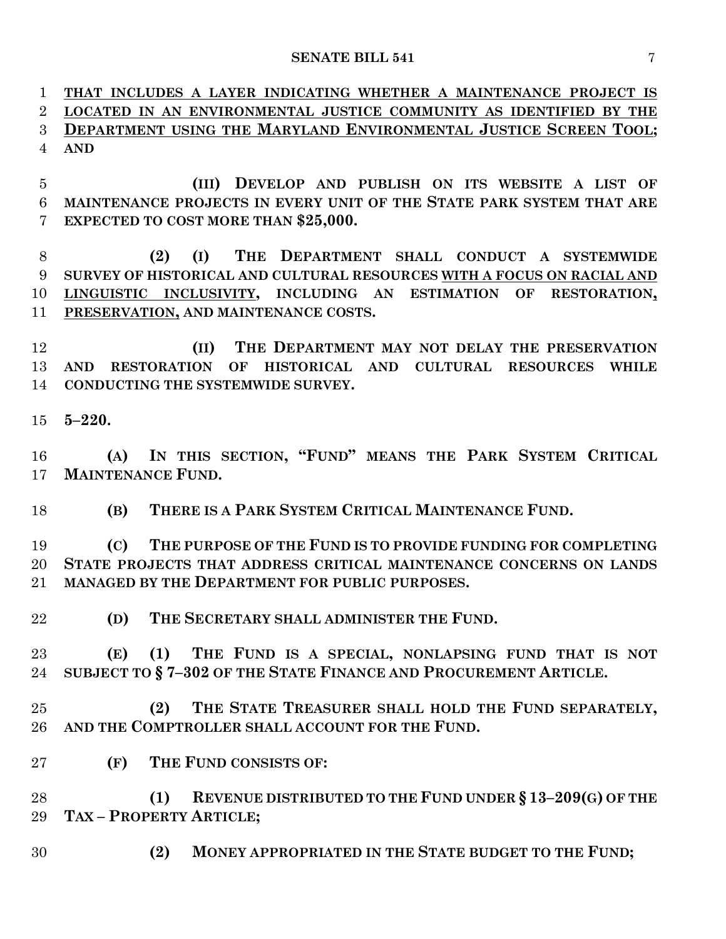**THAT INCLUDES A LAYER INDICATING WHETHER A MAINTENANCE PROJECT IS LOCATED IN AN ENVIRONMENTAL JUSTICE COMMUNITY AS IDENTIFIED BY THE DEPARTMENT USING THE MARYLAND ENVIRONMENTAL JUSTICE SCREEN TOOL; AND**

 **(III) DEVELOP AND PUBLISH ON ITS WEBSITE A LIST OF MAINTENANCE PROJECTS IN EVERY UNIT OF THE STATE PARK SYSTEM THAT ARE EXPECTED TO COST MORE THAN \$25,000.**

 **(2) (I) THE DEPARTMENT SHALL CONDUCT A SYSTEMWIDE SURVEY OF HISTORICAL AND CULTURAL RESOURCES WITH A FOCUS ON RACIAL AND LINGUISTIC INCLUSIVITY, INCLUDING AN ESTIMATION OF RESTORATION, PRESERVATION, AND MAINTENANCE COSTS.**

 **(II) THE DEPARTMENT MAY NOT DELAY THE PRESERVATION AND RESTORATION OF HISTORICAL AND CULTURAL RESOURCES WHILE CONDUCTING THE SYSTEMWIDE SURVEY.**

**5–220.**

 **(A) IN THIS SECTION, "FUND" MEANS THE PARK SYSTEM CRITICAL MAINTENANCE FUND.**

**(B) THERE IS A PARK SYSTEM CRITICAL MAINTENANCE FUND.**

 **(C) THE PURPOSE OF THE FUND IS TO PROVIDE FUNDING FOR COMPLETING STATE PROJECTS THAT ADDRESS CRITICAL MAINTENANCE CONCERNS ON LANDS MANAGED BY THE DEPARTMENT FOR PUBLIC PURPOSES.**

**(D) THE SECRETARY SHALL ADMINISTER THE FUND.**

 **(E) (1) THE FUND IS A SPECIAL, NONLAPSING FUND THAT IS NOT SUBJECT TO § 7–302 OF THE STATE FINANCE AND PROCUREMENT ARTICLE.**

 **(2) THE STATE TREASURER SHALL HOLD THE FUND SEPARATELY, AND THE COMPTROLLER SHALL ACCOUNT FOR THE FUND.**

**(F) THE FUND CONSISTS OF:**

 **(1) REVENUE DISTRIBUTED TO THE FUND UNDER § 13–209(G) OF THE TAX – PROPERTY ARTICLE;**

**(2) MONEY APPROPRIATED IN THE STATE BUDGET TO THE FUND;**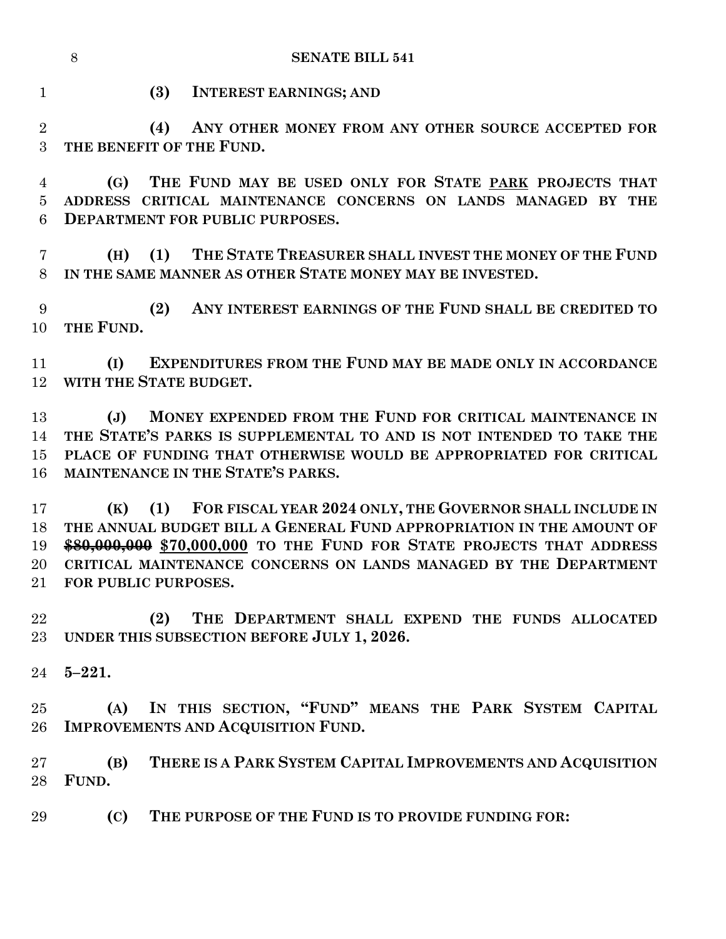**(3) INTEREST EARNINGS; AND**

 **(4) ANY OTHER MONEY FROM ANY OTHER SOURCE ACCEPTED FOR THE BENEFIT OF THE FUND.**

 **(G) THE FUND MAY BE USED ONLY FOR STATE PARK PROJECTS THAT ADDRESS CRITICAL MAINTENANCE CONCERNS ON LANDS MANAGED BY THE DEPARTMENT FOR PUBLIC PURPOSES.**

 **(H) (1) THE STATE TREASURER SHALL INVEST THE MONEY OF THE FUND IN THE SAME MANNER AS OTHER STATE MONEY MAY BE INVESTED.**

 **(2) ANY INTEREST EARNINGS OF THE FUND SHALL BE CREDITED TO THE FUND.**

 **(I) EXPENDITURES FROM THE FUND MAY BE MADE ONLY IN ACCORDANCE WITH THE STATE BUDGET.**

 **(J) MONEY EXPENDED FROM THE FUND FOR CRITICAL MAINTENANCE IN THE STATE'S PARKS IS SUPPLEMENTAL TO AND IS NOT INTENDED TO TAKE THE PLACE OF FUNDING THAT OTHERWISE WOULD BE APPROPRIATED FOR CRITICAL MAINTENANCE IN THE STATE'S PARKS.**

 **(K) (1) FOR FISCAL YEAR 2024 ONLY, THE GOVERNOR SHALL INCLUDE IN THE ANNUAL BUDGET BILL A GENERAL FUND APPROPRIATION IN THE AMOUNT OF \$80,000,000 \$70,000,000 TO THE FUND FOR STATE PROJECTS THAT ADDRESS CRITICAL MAINTENANCE CONCERNS ON LANDS MANAGED BY THE DEPARTMENT FOR PUBLIC PURPOSES.**

 **(2) THE DEPARTMENT SHALL EXPEND THE FUNDS ALLOCATED UNDER THIS SUBSECTION BEFORE JULY 1, 2026.**

**5–221.**

 **(A) IN THIS SECTION, "FUND" MEANS THE PARK SYSTEM CAPITAL IMPROVEMENTS AND ACQUISITION FUND.**

 **(B) THERE IS A PARK SYSTEM CAPITAL IMPROVEMENTS AND ACQUISITION FUND.**

**(C) THE PURPOSE OF THE FUND IS TO PROVIDE FUNDING FOR:**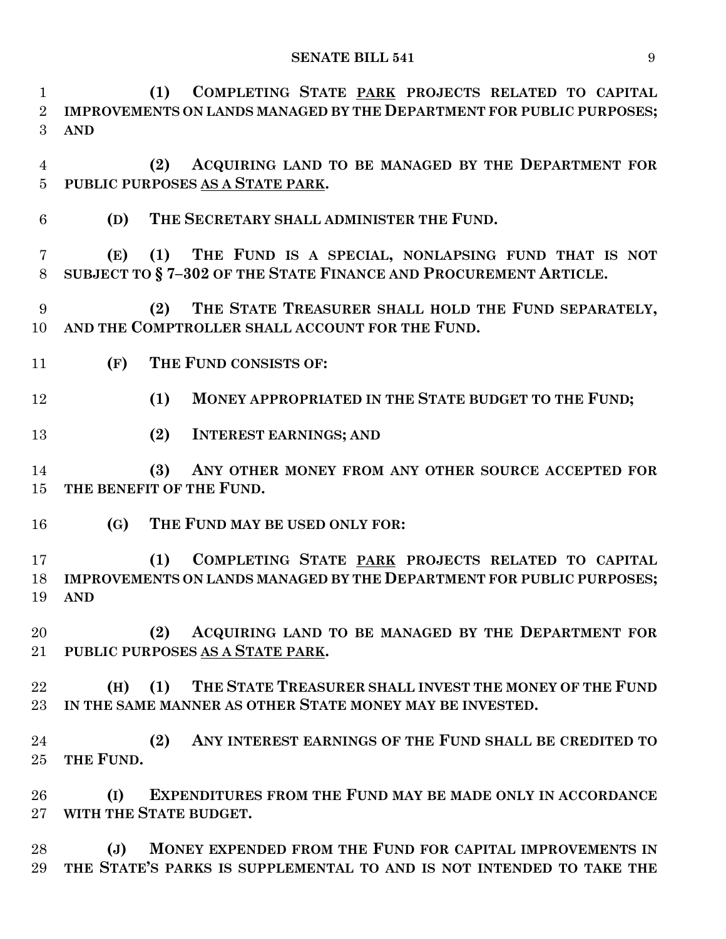**(1) COMPLETING STATE PARK PROJECTS RELATED TO CAPITAL IMPROVEMENTS ON LANDS MANAGED BY THE DEPARTMENT FOR PUBLIC PURPOSES; AND**

 **(2) ACQUIRING LAND TO BE MANAGED BY THE DEPARTMENT FOR PUBLIC PURPOSES AS A STATE PARK.**

**(D) THE SECRETARY SHALL ADMINISTER THE FUND.**

 **(E) (1) THE FUND IS A SPECIAL, NONLAPSING FUND THAT IS NOT SUBJECT TO § 7–302 OF THE STATE FINANCE AND PROCUREMENT ARTICLE.**

 **(2) THE STATE TREASURER SHALL HOLD THE FUND SEPARATELY, AND THE COMPTROLLER SHALL ACCOUNT FOR THE FUND.**

- **(F) THE FUND CONSISTS OF:**
- **(1) MONEY APPROPRIATED IN THE STATE BUDGET TO THE FUND;**
- **(2) INTEREST EARNINGS; AND**

 **(3) ANY OTHER MONEY FROM ANY OTHER SOURCE ACCEPTED FOR THE BENEFIT OF THE FUND.**

**(G) THE FUND MAY BE USED ONLY FOR:**

 **(1) COMPLETING STATE PARK PROJECTS RELATED TO CAPITAL IMPROVEMENTS ON LANDS MANAGED BY THE DEPARTMENT FOR PUBLIC PURPOSES; AND**

 **(2) ACQUIRING LAND TO BE MANAGED BY THE DEPARTMENT FOR PUBLIC PURPOSES AS A STATE PARK.**

 **(H) (1) THE STATE TREASURER SHALL INVEST THE MONEY OF THE FUND IN THE SAME MANNER AS OTHER STATE MONEY MAY BE INVESTED.**

 **(2) ANY INTEREST EARNINGS OF THE FUND SHALL BE CREDITED TO THE FUND.**

 **(I) EXPENDITURES FROM THE FUND MAY BE MADE ONLY IN ACCORDANCE WITH THE STATE BUDGET.**

 **(J) MONEY EXPENDED FROM THE FUND FOR CAPITAL IMPROVEMENTS IN THE STATE'S PARKS IS SUPPLEMENTAL TO AND IS NOT INTENDED TO TAKE THE**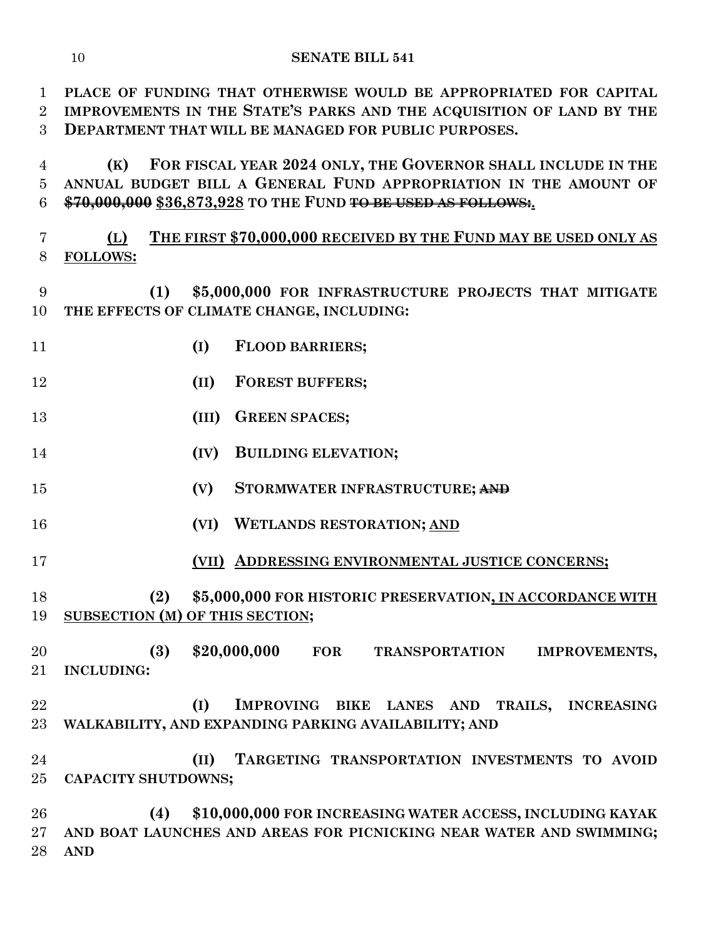**PLACE OF FUNDING THAT OTHERWISE WOULD BE APPROPRIATED FOR CAPITAL IMPROVEMENTS IN THE STATE'S PARKS AND THE ACQUISITION OF LAND BY THE DEPARTMENT THAT WILL BE MANAGED FOR PUBLIC PURPOSES.**

 **(K) FOR FISCAL YEAR 2024 ONLY, THE GOVERNOR SHALL INCLUDE IN THE ANNUAL BUDGET BILL A GENERAL FUND APPROPRIATION IN THE AMOUNT OF \$70,000,000 \$36,873,928 TO THE FUND TO BE USED AS FOLLOWS:.**

 **(L) THE FIRST \$70,000,000 RECEIVED BY THE FUND MAY BE USED ONLY AS FOLLOWS:**

 **(1) \$5,000,000 FOR INFRASTRUCTURE PROJECTS THAT MITIGATE THE EFFECTS OF CLIMATE CHANGE, INCLUDING:**

- **(I) FLOOD BARRIERS;**
- **(II) FOREST BUFFERS;**
- **(III) GREEN SPACES;**
- **(IV) BUILDING ELEVATION;**
- **(V) STORMWATER INFRASTRUCTURE; AND**
- **(VI) WETLANDS RESTORATION; AND**

**(VII) ADDRESSING ENVIRONMENTAL JUSTICE CONCERNS;**

 **(2) \$5,000,000 FOR HISTORIC PRESERVATION, IN ACCORDANCE WITH SUBSECTION (M) OF THIS SECTION;**

 **(3) \$20,000,000 FOR TRANSPORTATION IMPROVEMENTS, INCLUDING:**

 **(I) IMPROVING BIKE LANES AND TRAILS, INCREASING WALKABILITY, AND EXPANDING PARKING AVAILABILITY; AND**

 **(II) TARGETING TRANSPORTATION INVESTMENTS TO AVOID CAPACITY SHUTDOWNS;**

 **(4) \$10,000,000 FOR INCREASING WATER ACCESS, INCLUDING KAYAK AND BOAT LAUNCHES AND AREAS FOR PICNICKING NEAR WATER AND SWIMMING; AND**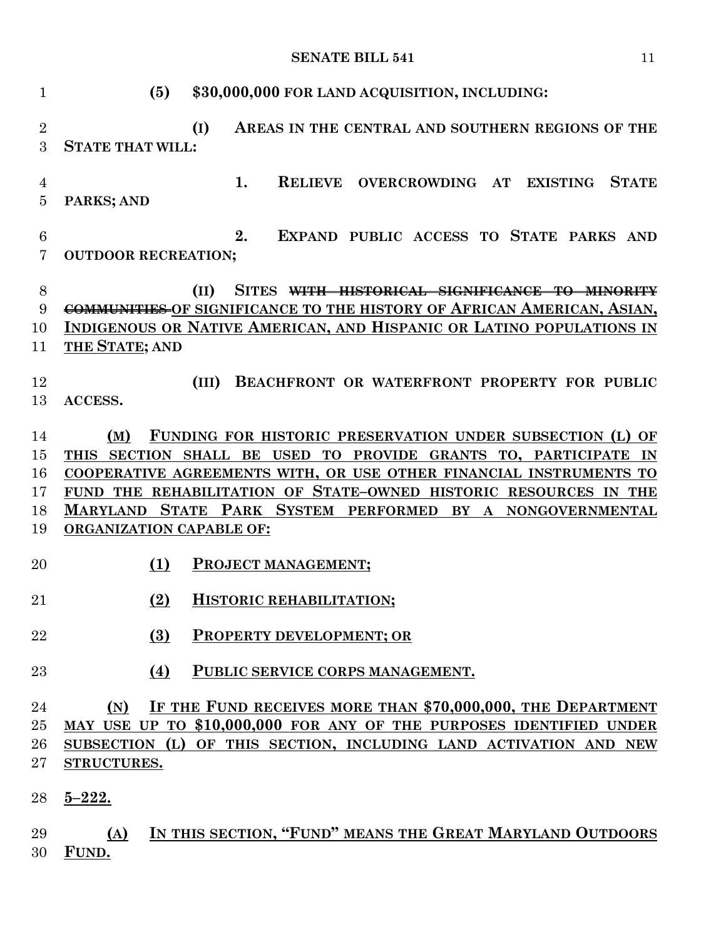**(5) \$30,000,000 FOR LAND ACQUISITION, INCLUDING: (I) AREAS IN THE CENTRAL AND SOUTHERN REGIONS OF THE STATE THAT WILL: 1. RELIEVE OVERCROWDING AT EXISTING STATE PARKS; AND 2. EXPAND PUBLIC ACCESS TO STATE PARKS AND OUTDOOR RECREATION; (II) SITES WITH HISTORICAL SIGNIFICANCE TO MINORITY COMMUNITIES OF SIGNIFICANCE TO THE HISTORY OF AFRICAN AMERICAN, ASIAN, INDIGENOUS OR NATIVE AMERICAN, AND HISPANIC OR LATINO POPULATIONS IN THE STATE; AND (III) BEACHFRONT OR WATERFRONT PROPERTY FOR PUBLIC ACCESS. (M) FUNDING FOR HISTORIC PRESERVATION UNDER SUBSECTION (L) OF THIS SECTION SHALL BE USED TO PROVIDE GRANTS TO, PARTICIPATE IN COOPERATIVE AGREEMENTS WITH, OR USE OTHER FINANCIAL INSTRUMENTS TO FUND THE REHABILITATION OF STATE–OWNED HISTORIC RESOURCES IN THE MARYLAND STATE PARK SYSTEM PERFORMED BY A NONGOVERNMENTAL ORGANIZATION CAPABLE OF: (1) PROJECT MANAGEMENT; (2) HISTORIC REHABILITATION; (3) PROPERTY DEVELOPMENT; OR (4) PUBLIC SERVICE CORPS MANAGEMENT. (N) IF THE FUND RECEIVES MORE THAN \$70,000,000, THE DEPARTMENT MAY USE UP TO \$10,000,000 FOR ANY OF THE PURPOSES IDENTIFIED UNDER SUBSECTION (L) OF THIS SECTION, INCLUDING LAND ACTIVATION AND NEW STRUCTURES. 5–222. (A) IN THIS SECTION, "FUND" MEANS THE GREAT MARYLAND OUTDOORS FUND.**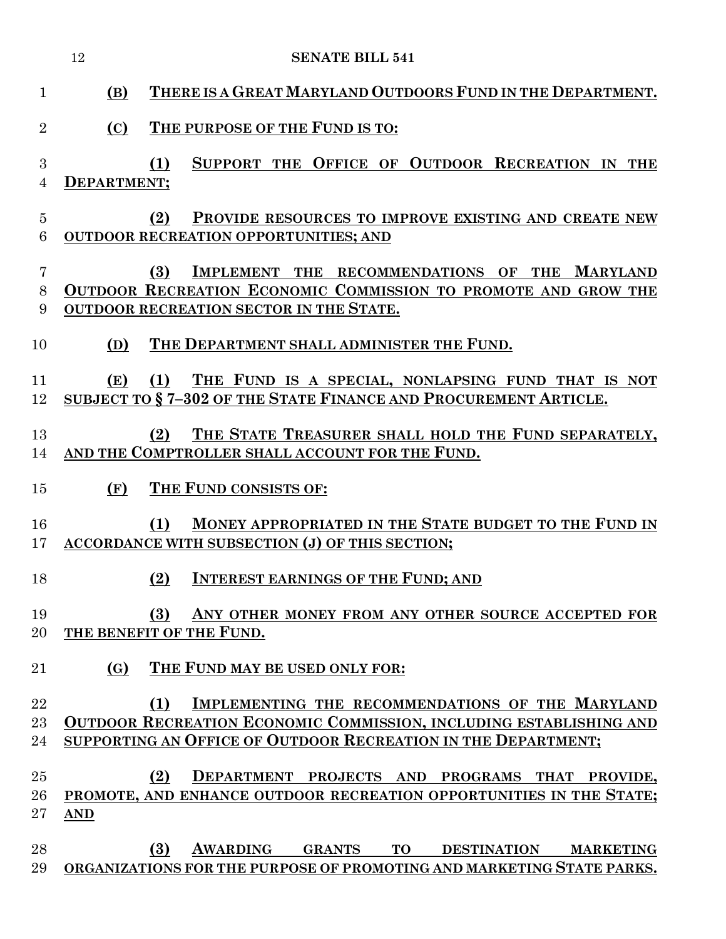|                     | 12          | <b>SENATE BILL 541</b>                                                                                                                                                                                |
|---------------------|-------------|-------------------------------------------------------------------------------------------------------------------------------------------------------------------------------------------------------|
| $\mathbf{1}$        | (B)         | THERE IS A GREAT MARYLAND OUTDOORS FUND IN THE DEPARTMENT.                                                                                                                                            |
| $\overline{2}$      | (C)         | THE PURPOSE OF THE FUND IS TO:                                                                                                                                                                        |
| 3<br>$\overline{4}$ | DEPARTMENT; | SUPPORT THE OFFICE OF OUTDOOR RECREATION IN THE<br>(1)                                                                                                                                                |
| $\overline{5}$<br>6 |             | PROVIDE RESOURCES TO IMPROVE EXISTING AND CREATE NEW<br>(2)<br><b>OUTDOOR RECREATION OPPORTUNITIES; AND</b>                                                                                           |
| 7<br>8<br>9         |             | (3)<br>IMPLEMENT THE RECOMMENDATIONS OF THE MARYLAND<br>OUTDOOR RECREATION ECONOMIC COMMISSION TO PROMOTE AND GROW THE<br><b>OUTDOOR RECREATION SECTOR IN THE STATE.</b>                              |
| 10                  | (D)         | THE DEPARTMENT SHALL ADMINISTER THE FUND.                                                                                                                                                             |
| 11<br>12            | (E)         | (1)<br>THE FUND IS A SPECIAL, NONLAPSING FUND THAT IS NOT<br>SUBJECT TO §7-302 OF THE STATE FINANCE AND PROCUREMENT ARTICLE.                                                                          |
| 13<br>14            |             | THE STATE TREASURER SHALL HOLD THE FUND SEPARATELY,<br>(2)<br>AND THE COMPTROLLER SHALL ACCOUNT FOR THE FUND.                                                                                         |
| 15                  | (F)         | THE FUND CONSISTS OF:                                                                                                                                                                                 |
| 16<br>17            |             | MONEY APPROPRIATED IN THE STATE BUDGET TO THE FUND IN<br>(1)<br>ACCORDANCE WITH SUBSECTION (J) OF THIS SECTION;                                                                                       |
| 18                  |             | <b>INTEREST EARNINGS OF THE FUND; AND</b><br>(2)                                                                                                                                                      |
| 19<br>20            |             | ANY OTHER MONEY FROM ANY OTHER SOURCE ACCEPTED FOR<br>(3)<br>THE BENEFIT OF THE FUND.                                                                                                                 |
| 21                  | (G)         | THE FUND MAY BE USED ONLY FOR:                                                                                                                                                                        |
| 22<br>$23\,$<br>24  |             | IMPLEMENTING THE RECOMMENDATIONS OF THE MARYLAND<br>(1)<br><b>OUTDOOR RECREATION ECONOMIC COMMISSION, INCLUDING ESTABLISHING AND</b><br>SUPPORTING AN OFFICE OF OUTDOOR RECREATION IN THE DEPARTMENT; |
| 25<br>26<br>$27\,$  | <b>AND</b>  | DEPARTMENT PROJECTS AND PROGRAMS THAT PROVIDE,<br>(2)<br>PROMOTE, AND ENHANCE OUTDOOR RECREATION OPPORTUNITIES IN THE STATE;                                                                          |
| 28<br>29            |             | AWARDING GRANTS TO DESTINATION MARKETING<br>(3)<br>ORGANIZATIONS FOR THE PURPOSE OF PROMOTING AND MARKETING STATE PARKS.                                                                              |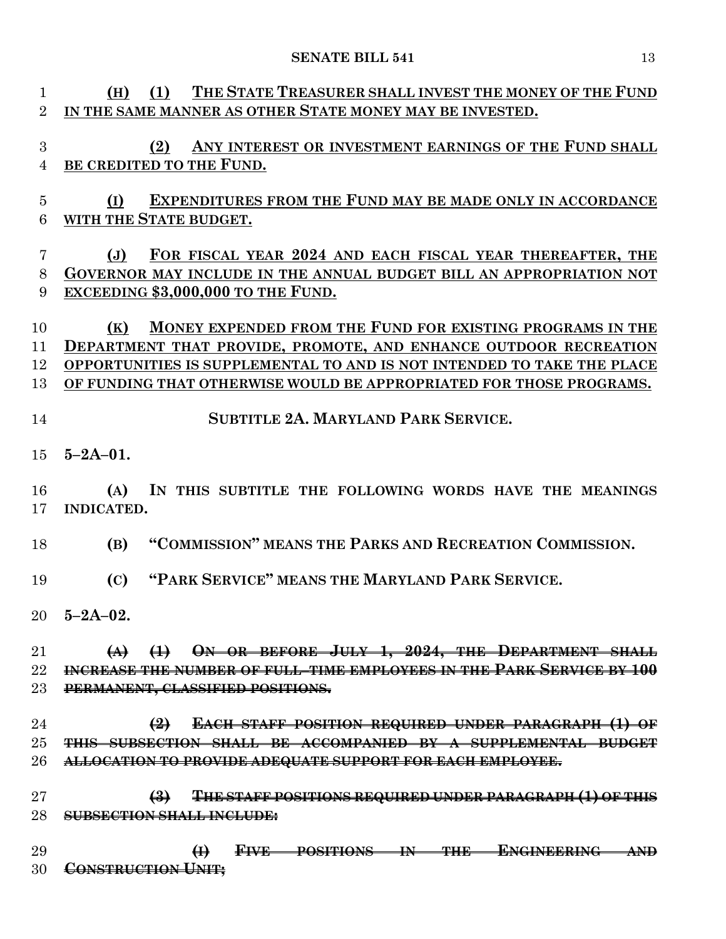| 1              | THE STATE TREASURER SHALL INVEST THE MONEY OF THE FUND<br>(1)<br>(H)                                                                |
|----------------|-------------------------------------------------------------------------------------------------------------------------------------|
| $\overline{2}$ | IN THE SAME MANNER AS OTHER STATE MONEY MAY BE INVESTED.                                                                            |
|                |                                                                                                                                     |
| 3              | ANY INTEREST OR INVESTMENT EARNINGS OF THE FUND SHALL<br>(2)                                                                        |
| 4              | BE CREDITED TO THE FUND.                                                                                                            |
|                |                                                                                                                                     |
| 5              | <b>EXPENDITURES FROM THE FUND MAY BE MADE ONLY IN ACCORDANCE</b><br>(I)                                                             |
| 6              | WITH THE STATE BUDGET.                                                                                                              |
| 7              | FOR FISCAL YEAR 2024 AND EACH FISCAL YEAR THEREAFTER, THE<br>$(\mathbf{J})$                                                         |
| 8              | GOVERNOR MAY INCLUDE IN THE ANNUAL BUDGET BILL AN APPROPRIATION NOT                                                                 |
| 9              | EXCEEDING \$3,000,000 TO THE FUND.                                                                                                  |
|                |                                                                                                                                     |
| 10             | MONEY EXPENDED FROM THE FUND FOR EXISTING PROGRAMS IN THE<br>(K)                                                                    |
| 11             | DEPARTMENT THAT PROVIDE, PROMOTE, AND ENHANCE OUTDOOR RECREATION                                                                    |
| 12             | OPPORTUNITIES IS SUPPLEMENTAL TO AND IS NOT INTENDED TO TAKE THE PLACE                                                              |
| 13             | OF FUNDING THAT OTHERWISE WOULD BE APPROPRIATED FOR THOSE PROGRAMS.                                                                 |
|                |                                                                                                                                     |
| 14             | <b>SUBTITLE 2A. MARYLAND PARK SERVICE.</b>                                                                                          |
|                |                                                                                                                                     |
| 15             | $5 - 2A - 01$ .                                                                                                                     |
|                |                                                                                                                                     |
| 16<br>17       | IN THIS SUBTITLE THE FOLLOWING WORDS HAVE THE MEANINGS<br>(A)<br><b>INDICATED.</b>                                                  |
|                |                                                                                                                                     |
| 18             | "COMMISSION" MEANS THE PARKS AND RECREATION COMMISSION.<br>(B)                                                                      |
|                |                                                                                                                                     |
| 19             | "PARK SERVICE" MEANS THE MARYLAND PARK SERVICE.<br>(C)                                                                              |
|                |                                                                                                                                     |
|                | $20\quad 5-2A-02.$                                                                                                                  |
|                |                                                                                                                                     |
| 21             | $(A)$ $(1)$ ON OR BEFORE JULY 1, 2024, THE DEPARTMENT SHALL                                                                         |
| 22             | INCREASE THE NUMBER OF FULL-TIME EMPLOYEES IN THE PARK SERVICE BY 100                                                               |
| 23             | PERMANENT, CLASSIFIED POSITIONS.                                                                                                    |
|                |                                                                                                                                     |
| 24<br>25       | EACH STAFF POSITION REQUIRED UNDER PARAGRAPH (1) OF<br>$\bigoplus$<br>THIS SUBSECTION SHALL BE ACCOMPANIED BY A SUPPLEMENTAL BUDGET |
| 26             |                                                                                                                                     |
|                | <b>ALLOCATION TO PROVIDE ADEQUATE SUPPORT FOR EACH EMPLOYEE.</b>                                                                    |
| 27             | THE STAFF POSITIONS REQUIRED UNDER PARAGRAPH (1) OF THIS<br>$\left(\frac{3}{2}\right)$                                              |
| 28             | <b>SUBSECTION SHALL INCLUDE:</b>                                                                                                    |
|                |                                                                                                                                     |
| 29             | FIVE POSITIONS IN THE ENGINEERING AND<br>$\bigoplus$                                                                                |
| 30             | <b>CONSTRUCTION UNIT:</b>                                                                                                           |
|                |                                                                                                                                     |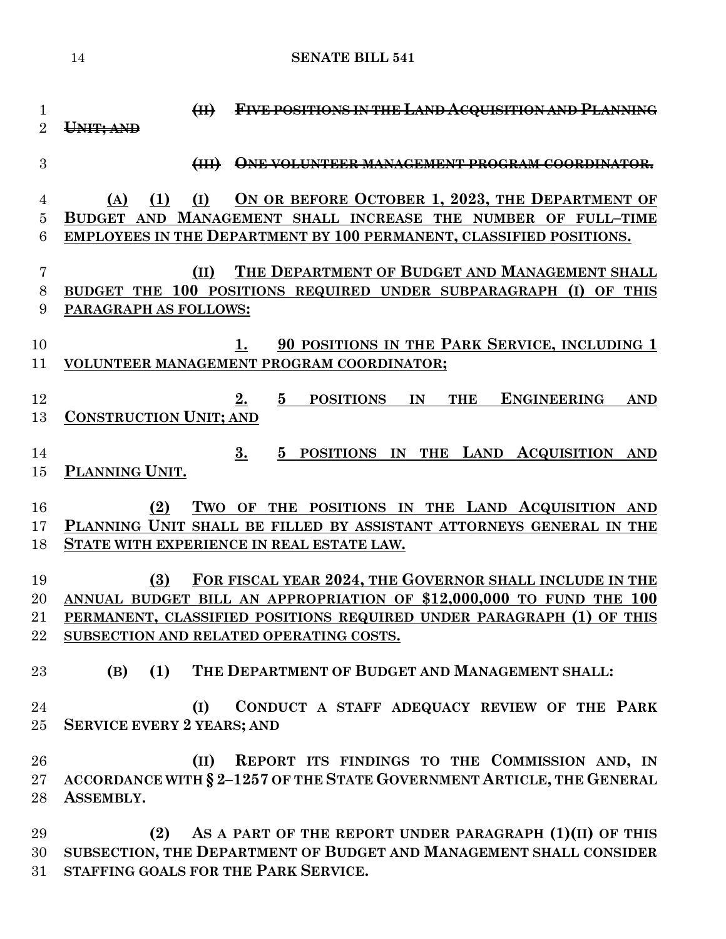**(II) FIVE POSITIONS IN THE LAND ACQUISITION AND PLANNING UNIT; AND (III) ONE VOLUNTEER MANAGEMENT PROGRAM COORDINATOR. (A) (1) (I) ON OR BEFORE OCTOBER 1, 2023, THE DEPARTMENT OF BUDGET AND MANAGEMENT SHALL INCREASE THE NUMBER OF FULL–TIME EMPLOYEES IN THE DEPARTMENT BY 100 PERMANENT, CLASSIFIED POSITIONS. (II) THE DEPARTMENT OF BUDGET AND MANAGEMENT SHALL BUDGET THE 100 POSITIONS REQUIRED UNDER SUBPARAGRAPH (I) OF THIS PARAGRAPH AS FOLLOWS: 1. 90 POSITIONS IN THE PARK SERVICE, INCLUDING 1 VOLUNTEER MANAGEMENT PROGRAM COORDINATOR; 2. 5 POSITIONS IN THE ENGINEERING AND CONSTRUCTION UNIT; AND 3. 5 POSITIONS IN THE LAND ACQUISITION AND PLANNING UNIT. (2) TWO OF THE POSITIONS IN THE LAND ACQUISITION AND PLANNING UNIT SHALL BE FILLED BY ASSISTANT ATTORNEYS GENERAL IN THE STATE WITH EXPERIENCE IN REAL ESTATE LAW. (3) FOR FISCAL YEAR 2024, THE GOVERNOR SHALL INCLUDE IN THE ANNUAL BUDGET BILL AN APPROPRIATION OF \$12,000,000 TO FUND THE 100 PERMANENT, CLASSIFIED POSITIONS REQUIRED UNDER PARAGRAPH (1) OF THIS SUBSECTION AND RELATED OPERATING COSTS. (B) (1) THE DEPARTMENT OF BUDGET AND MANAGEMENT SHALL: (I) CONDUCT A STAFF ADEQUACY REVIEW OF THE PARK SERVICE EVERY 2 YEARS; AND (II) REPORT ITS FINDINGS TO THE COMMISSION AND, IN ACCORDANCE WITH § 2–1257 OF THE STATE GOVERNMENT ARTICLE, THE GENERAL ASSEMBLY. (2) AS A PART OF THE REPORT UNDER PARAGRAPH (1)(II) OF THIS SUBSECTION, THE DEPARTMENT OF BUDGET AND MANAGEMENT SHALL CONSIDER** 

**STAFFING GOALS FOR THE PARK SERVICE.**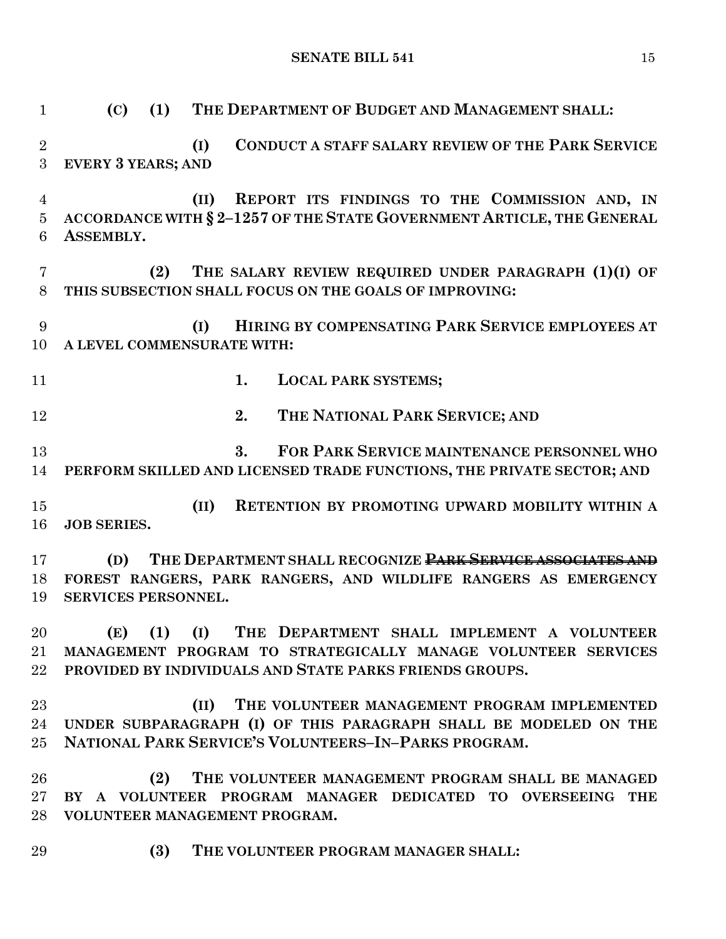| $\mathbf{1}$                          | THE DEPARTMENT OF BUDGET AND MANAGEMENT SHALL:<br>(1)<br>(C)                                                                                                                       |
|---------------------------------------|------------------------------------------------------------------------------------------------------------------------------------------------------------------------------------|
| $\overline{2}$<br>3                   | <b>CONDUCT A STAFF SALARY REVIEW OF THE PARK SERVICE</b><br>(I)<br><b>EVERY 3 YEARS; AND</b>                                                                                       |
| $\overline{4}$<br>$\overline{5}$<br>6 | REPORT ITS FINDINGS TO THE COMMISSION AND, IN<br>(II)<br>ACCORDANCE WITH § 2-1257 OF THE STATE GOVERNMENT ARTICLE, THE GENERAL<br>ASSEMBLY.                                        |
| 7<br>8                                | THE SALARY REVIEW REQUIRED UNDER PARAGRAPH (1)(I) OF<br>(2)<br>THIS SUBSECTION SHALL FOCUS ON THE GOALS OF IMPROVING:                                                              |
| 9<br>10                               | HIRING BY COMPENSATING PARK SERVICE EMPLOYEES AT<br>(I)<br>A LEVEL COMMENSURATE WITH:                                                                                              |
| 11                                    | 1.<br><b>LOCAL PARK SYSTEMS;</b>                                                                                                                                                   |
| 12                                    | 2.<br>THE NATIONAL PARK SERVICE; AND                                                                                                                                               |
| 13<br>14                              | 3.<br>FOR PARK SERVICE MAINTENANCE PERSONNEL WHO<br>PERFORM SKILLED AND LICENSED TRADE FUNCTIONS, THE PRIVATE SECTOR; AND                                                          |
| 15<br>16                              | (II)<br>RETENTION BY PROMOTING UPWARD MOBILITY WITHIN A<br><b>JOB SERIES.</b>                                                                                                      |
| 17<br>18<br>19                        | THE DEPARTMENT SHALL RECOGNIZE PARK SERVICE ASSOCIATES AND<br>(D)<br>FOREST RANGERS, PARK RANGERS, AND WILDLIFE RANGERS AS EMERGENCY<br>SERVICES PERSONNEL.                        |
| 20<br>$21\,$<br>$22\,$                | (E) (1) (I) THE DEPARTMENT SHALL IMPLEMENT A VOLUNTEER<br>MANAGEMENT PROGRAM TO STRATEGICALLY MANAGE VOLUNTEER SERVICES<br>PROVIDED BY INDIVIDUALS AND STATE PARKS FRIENDS GROUPS. |
| 23<br>24<br>25 <sub>1</sub>           | THE VOLUNTEER MANAGEMENT PROGRAM IMPLEMENTED<br>(II)<br>UNDER SUBPARAGRAPH (I) OF THIS PARAGRAPH SHALL BE MODELED ON THE<br>NATIONAL PARK SERVICE'S VOLUNTEERS-IN-PARKS PROGRAM.   |
| 26<br>$27\,$<br>$28\,$                | (2)<br>THE VOLUNTEER MANAGEMENT PROGRAM SHALL BE MANAGED<br>BY A VOLUNTEER PROGRAM MANAGER DEDICATED TO OVERSEEING THE<br>VOLUNTEER MANAGEMENT PROGRAM.                            |
| 29                                    | (3)<br>THE VOLUNTEER PROGRAM MANAGER SHALL:                                                                                                                                        |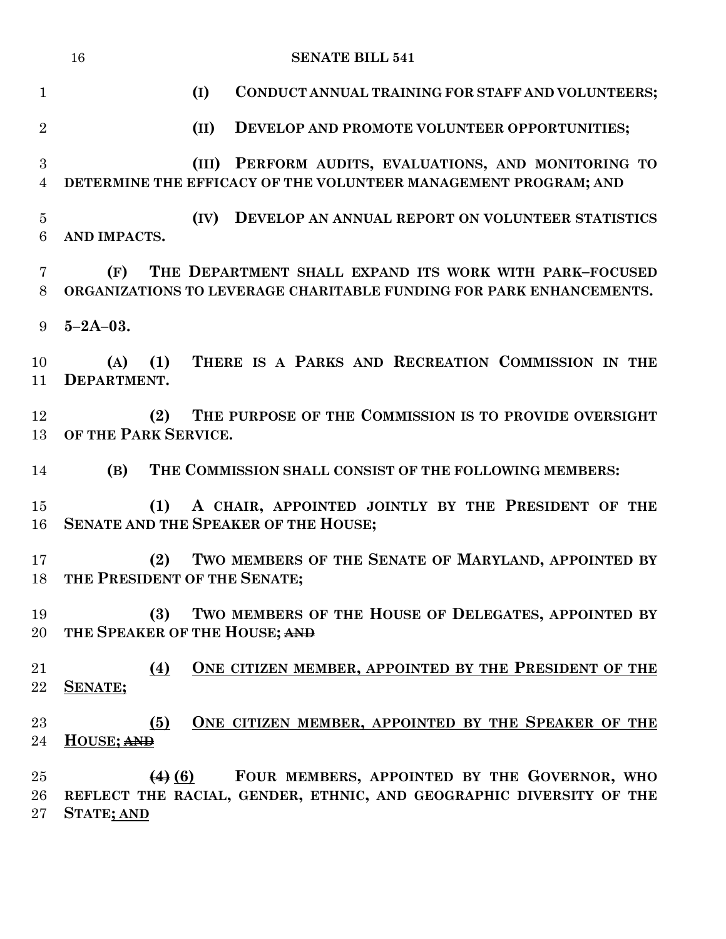|                     | <b>SENATE BILL 541</b><br>16                                                                                                                          |
|---------------------|-------------------------------------------------------------------------------------------------------------------------------------------------------|
| $\mathbf{1}$        | (I)<br>CONDUCT ANNUAL TRAINING FOR STAFF AND VOLUNTEERS;                                                                                              |
| $\overline{2}$      | (II)<br>DEVELOP AND PROMOTE VOLUNTEER OPPORTUNITIES;                                                                                                  |
| 3<br>$\overline{4}$ | (III) PERFORM AUDITS, EVALUATIONS, AND MONITORING TO<br>DETERMINE THE EFFICACY OF THE VOLUNTEER MANAGEMENT PROGRAM; AND                               |
| $\overline{5}$<br>6 | (IV)<br>DEVELOP AN ANNUAL REPORT ON VOLUNTEER STATISTICS<br>AND IMPACTS.                                                                              |
| 7<br>8              | (F)<br>THE DEPARTMENT SHALL EXPAND ITS WORK WITH PARK-FOCUSED<br>ORGANIZATIONS TO LEVERAGE CHARITABLE FUNDING FOR PARK ENHANCEMENTS.                  |
| 9                   | $5 - 2A - 03$ .                                                                                                                                       |
| 10<br>11            | THERE IS A PARKS AND RECREATION COMMISSION IN THE<br>(1)<br>(A)<br>DEPARTMENT.                                                                        |
| 12<br>13            | THE PURPOSE OF THE COMMISSION IS TO PROVIDE OVERSIGHT<br>(2)<br>OF THE PARK SERVICE.                                                                  |
| 14                  | THE COMMISSION SHALL CONSIST OF THE FOLLOWING MEMBERS:<br>(B)                                                                                         |
| 15<br>16            | A CHAIR, APPOINTED JOINTLY BY THE PRESIDENT OF THE<br>(1)<br>SENATE AND THE SPEAKER OF THE HOUSE;                                                     |
| 17<br>18            | TWO MEMBERS OF THE SENATE OF MARYLAND, APPOINTED BY<br>(2)<br>THE PRESIDENT OF THE SENATE;                                                            |
| 19<br>20            | TWO MEMBERS OF THE HOUSE OF DELEGATES, APPOINTED BY<br>(3)<br>THE SPEAKER OF THE HOUSE; AND                                                           |
| 21<br>22            | ONE CITIZEN MEMBER, APPOINTED BY THE PRESIDENT OF THE<br>(4)<br>SENATE;                                                                               |
| 23<br>24            | ONE CITIZEN MEMBER, APPOINTED BY THE SPEAKER OF THE<br>(5)<br>HOUSE; AND                                                                              |
| 25<br>26<br>$27\,$  | FOUR MEMBERS, APPOINTED BY THE GOVERNOR, WHO<br>$(4)$ (6)<br>REFLECT THE RACIAL, GENDER, ETHNIC, AND GEOGRAPHIC DIVERSITY OF THE<br><b>STATE; AND</b> |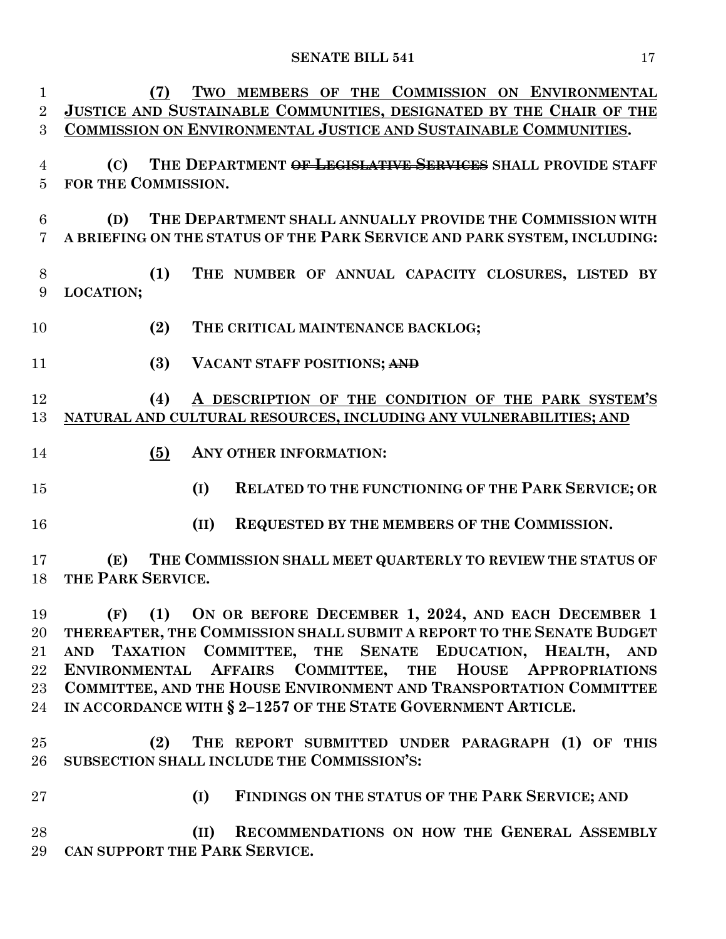| 1              | TWO MEMBERS OF THE COMMISSION ON ENVIRONMENTAL<br>(7)                    |
|----------------|--------------------------------------------------------------------------|
| $\overline{2}$ | JUSTICE AND SUSTAINABLE COMMUNITIES, DESIGNATED BY THE CHAIR OF THE      |
| 3              | COMMISSION ON ENVIRONMENTAL JUSTICE AND SUSTAINABLE COMMUNITIES.         |
|                |                                                                          |
| 4              | (C) THE DEPARTMENT OF LEGISLATIVE SERVICES SHALL PROVIDE STAFF           |
| 5              | FOR THE COMMISSION.                                                      |
| 6              | THE DEPARTMENT SHALL ANNUALLY PROVIDE THE COMMISSION WITH<br>(D)         |
| $\overline{7}$ | A BRIEFING ON THE STATUS OF THE PARK SERVICE AND PARK SYSTEM, INCLUDING: |
|                |                                                                          |
| 8              | THE NUMBER OF ANNUAL CAPACITY CLOSURES, LISTED BY<br>(1)                 |
| 9              | LOCATION;                                                                |
|                |                                                                          |
| 10             | (2)<br>THE CRITICAL MAINTENANCE BACKLOG;                                 |
|                |                                                                          |
| 11             | (3)<br>VACANT STAFF POSITIONS; AND                                       |
|                |                                                                          |
| 12             | A DESCRIPTION OF THE CONDITION OF THE PARK SYSTEM'S<br>(4)               |
| 13             | NATURAL AND CULTURAL RESOURCES, INCLUDING ANY VULNERABILITIES; AND       |
|                |                                                                          |
| 14             | (5)<br>ANY OTHER INFORMATION:                                            |
| 15             | RELATED TO THE FUNCTIONING OF THE PARK SERVICE; OR<br>(I)                |
|                |                                                                          |
| 16             | REQUESTED BY THE MEMBERS OF THE COMMISSION.<br>(II)                      |
|                |                                                                          |
| 17             | THE COMMISSION SHALL MEET QUARTERLY TO REVIEW THE STATUS OF<br>(E)       |
| 18             | THE PARK SERVICE.                                                        |
|                |                                                                          |
| 19             | (F) (1) ON OR BEFORE DECEMBER 1, 2024, AND EACH DECEMBER 1               |
| 20             | THEREAFTER, THE COMMISSION SHALL SUBMIT A REPORT TO THE SENATE BUDGET    |
| 21             | AND TAXATION COMMITTEE, THE SENATE EDUCATION, HEALTH, AND                |
| $22\,$         | ENVIRONMENTAL AFFAIRS COMMITTEE, THE HOUSE APPROPRIATIONS                |
| $23\,$         | COMMITTEE, AND THE HOUSE ENVIRONMENT AND TRANSPORTATION COMMITTEE        |
| 24             | IN ACCORDANCE WITH § 2-1257 OF THE STATE GOVERNMENT ARTICLE.             |
|                |                                                                          |
| $25\,$         | THE REPORT SUBMITTED UNDER PARAGRAPH (1) OF THIS<br>(2)                  |
| $26\,$         | SUBSECTION SHALL INCLUDE THE COMMISSION'S:                               |
| $27\,$         | FINDINGS ON THE STATUS OF THE PARK SERVICE; AND<br>(I)                   |
|                |                                                                          |
| 28             | RECOMMENDATIONS ON HOW THE GENERAL ASSEMBLY<br>(II)                      |
|                |                                                                          |

**CAN SUPPORT THE PARK SERVICE.**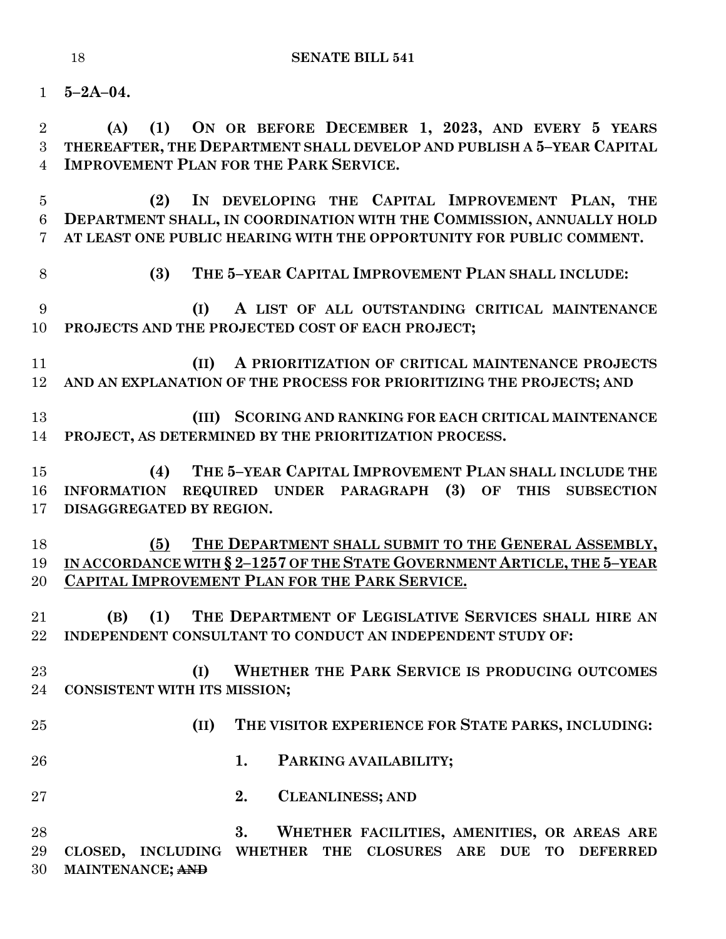**5–2A–04.**

 **(A) (1) ON OR BEFORE DECEMBER 1, 2023, AND EVERY 5 YEARS THEREAFTER, THE DEPARTMENT SHALL DEVELOP AND PUBLISH A 5–YEAR CAPITAL IMPROVEMENT PLAN FOR THE PARK SERVICE.**

 **(2) IN DEVELOPING THE CAPITAL IMPROVEMENT PLAN, THE DEPARTMENT SHALL, IN COORDINATION WITH THE COMMISSION, ANNUALLY HOLD AT LEAST ONE PUBLIC HEARING WITH THE OPPORTUNITY FOR PUBLIC COMMENT.**

**(3) THE 5–YEAR CAPITAL IMPROVEMENT PLAN SHALL INCLUDE:**

 **(I) A LIST OF ALL OUTSTANDING CRITICAL MAINTENANCE PROJECTS AND THE PROJECTED COST OF EACH PROJECT;**

 **(II) A PRIORITIZATION OF CRITICAL MAINTENANCE PROJECTS AND AN EXPLANATION OF THE PROCESS FOR PRIORITIZING THE PROJECTS; AND**

 **(III) SCORING AND RANKING FOR EACH CRITICAL MAINTENANCE PROJECT, AS DETERMINED BY THE PRIORITIZATION PROCESS.**

 **(4) THE 5–YEAR CAPITAL IMPROVEMENT PLAN SHALL INCLUDE THE INFORMATION REQUIRED UNDER PARAGRAPH (3) OF THIS SUBSECTION DISAGGREGATED BY REGION.**

**(5) THE DEPARTMENT SHALL SUBMIT TO THE GENERAL ASSEMBLY, IN ACCORDANCE WITH § 2–1257 OF THE STATE GOVERNMENT ARTICLE, THE 5–YEAR CAPITAL IMPROVEMENT PLAN FOR THE PARK SERVICE.**

 **(B) (1) THE DEPARTMENT OF LEGISLATIVE SERVICES SHALL HIRE AN INDEPENDENT CONSULTANT TO CONDUCT AN INDEPENDENT STUDY OF:**

 **(I) WHETHER THE PARK SERVICE IS PRODUCING OUTCOMES CONSISTENT WITH ITS MISSION;**

- - **(II) THE VISITOR EXPERIENCE FOR STATE PARKS, INCLUDING:**
	- **1. PARKING AVAILABILITY;**
	- **2. CLEANLINESS; AND**

 **3. WHETHER FACILITIES, AMENITIES, OR AREAS ARE CLOSED, INCLUDING WHETHER THE CLOSURES ARE DUE TO DEFERRED MAINTENANCE; AND**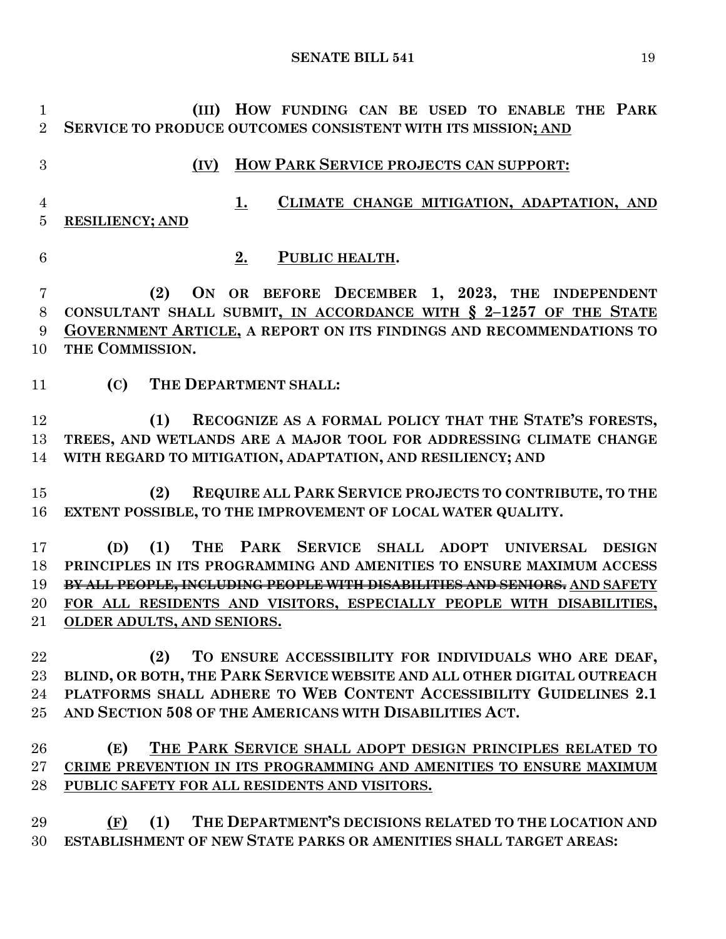**(III) HOW FUNDING CAN BE USED TO ENABLE THE PARK SERVICE TO PRODUCE OUTCOMES CONSISTENT WITH ITS MISSION; AND (IV) HOW PARK SERVICE PROJECTS CAN SUPPORT: 1. CLIMATE CHANGE MITIGATION, ADAPTATION, AND RESILIENCY; AND 2. PUBLIC HEALTH. (2) ON OR BEFORE DECEMBER 1, 2023, THE INDEPENDENT CONSULTANT SHALL SUBMIT, IN ACCORDANCE WITH § 2–1257 OF THE STATE GOVERNMENT ARTICLE, A REPORT ON ITS FINDINGS AND RECOMMENDATIONS TO THE COMMISSION. (C) THE DEPARTMENT SHALL: (1) RECOGNIZE AS A FORMAL POLICY THAT THE STATE'S FORESTS, TREES, AND WETLANDS ARE A MAJOR TOOL FOR ADDRESSING CLIMATE CHANGE WITH REGARD TO MITIGATION, ADAPTATION, AND RESILIENCY; AND (2) REQUIRE ALL PARK SERVICE PROJECTS TO CONTRIBUTE, TO THE EXTENT POSSIBLE, TO THE IMPROVEMENT OF LOCAL WATER QUALITY. (D) (1) THE PARK SERVICE SHALL ADOPT UNIVERSAL DESIGN PRINCIPLES IN ITS PROGRAMMING AND AMENITIES TO ENSURE MAXIMUM ACCESS BY ALL PEOPLE, INCLUDING PEOPLE WITH DISABILITIES AND SENIORS. AND SAFETY FOR ALL RESIDENTS AND VISITORS, ESPECIALLY PEOPLE WITH DISABILITIES, OLDER ADULTS, AND SENIORS. (2) TO ENSURE ACCESSIBILITY FOR INDIVIDUALS WHO ARE DEAF, BLIND, OR BOTH, THE PARK SERVICE WEBSITE AND ALL OTHER DIGITAL OUTREACH PLATFORMS SHALL ADHERE TO WEB CONTENT ACCESSIBILITY GUIDELINES 2.1 AND SECTION 508 OF THE AMERICANS WITH DISABILITIES ACT. (E) THE PARK SERVICE SHALL ADOPT DESIGN PRINCIPLES RELATED TO CRIME PREVENTION IN ITS PROGRAMMING AND AMENITIES TO ENSURE MAXIMUM PUBLIC SAFETY FOR ALL RESIDENTS AND VISITORS. (F) (1) THE DEPARTMENT'S DECISIONS RELATED TO THE LOCATION AND ESTABLISHMENT OF NEW STATE PARKS OR AMENITIES SHALL TARGET AREAS:**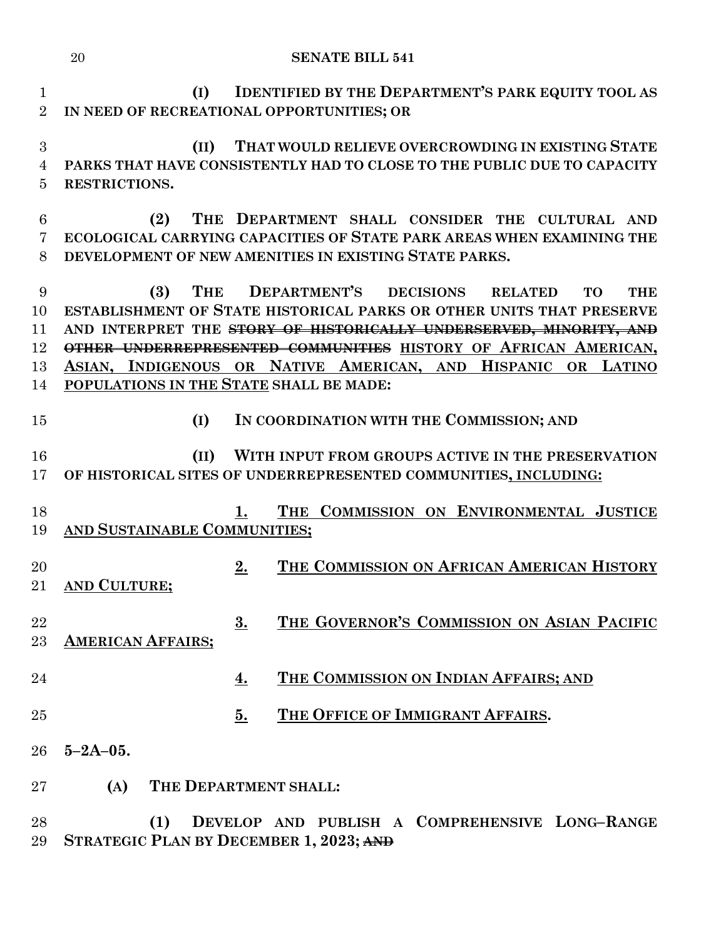**(I) IDENTIFIED BY THE DEPARTMENT'S PARK EQUITY TOOL AS IN NEED OF RECREATIONAL OPPORTUNITIES; OR (II) THAT WOULD RELIEVE OVERCROWDING IN EXISTING STATE PARKS THAT HAVE CONSISTENTLY HAD TO CLOSE TO THE PUBLIC DUE TO CAPACITY** 

**RESTRICTIONS.**

 **(2) THE DEPARTMENT SHALL CONSIDER THE CULTURAL AND ECOLOGICAL CARRYING CAPACITIES OF STATE PARK AREAS WHEN EXAMINING THE DEVELOPMENT OF NEW AMENITIES IN EXISTING STATE PARKS.**

 **(3) THE DEPARTMENT'S DECISIONS RELATED TO THE ESTABLISHMENT OF STATE HISTORICAL PARKS OR OTHER UNITS THAT PRESERVE AND INTERPRET THE STORY OF HISTORICALLY UNDERSERVED, MINORITY, AND OTHER UNDERREPRESENTED COMMUNITIES HISTORY OF AFRICAN AMERICAN, ASIAN, INDIGENOUS OR NATIVE AMERICAN, AND HISPANIC OR LATINO POPULATIONS IN THE STATE SHALL BE MADE:**

# **(I) IN COORDINATION WITH THE COMMISSION; AND**

 **(II) WITH INPUT FROM GROUPS ACTIVE IN THE PRESERVATION OF HISTORICAL SITES OF UNDERREPRESENTED COMMUNITIES, INCLUDING:**

- **1. THE COMMISSION ON ENVIRONMENTAL JUSTICE AND SUSTAINABLE COMMUNITIES;**
- **2. THE COMMISSION ON AFRICAN AMERICAN HISTORY AND CULTURE;**
- **3. THE GOVERNOR'S COMMISSION ON ASIAN PACIFIC AMERICAN AFFAIRS;**
- **4. THE COMMISSION ON INDIAN AFFAIRS; AND**
- **5. THE OFFICE OF IMMIGRANT AFFAIRS.**
- **5–2A–05.**
- **(A) THE DEPARTMENT SHALL:**
- **(1) DEVELOP AND PUBLISH A COMPREHENSIVE LONG–RANGE STRATEGIC PLAN BY DECEMBER 1, 2023; AND**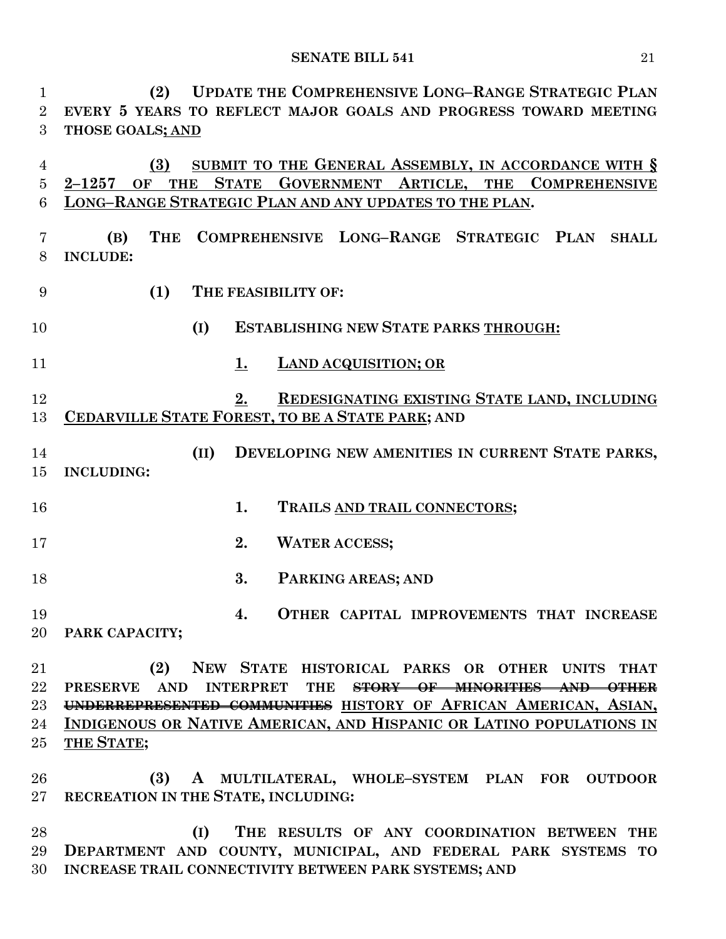**(2) UPDATE THE COMPREHENSIVE LONG–RANGE STRATEGIC PLAN EVERY 5 YEARS TO REFLECT MAJOR GOALS AND PROGRESS TOWARD MEETING THOSE GOALS; AND**

 **(3) SUBMIT TO THE GENERAL ASSEMBLY, IN ACCORDANCE WITH § 2–1257 OF THE STATE GOVERNMENT ARTICLE, THE COMPREHENSIVE LONG–RANGE STRATEGIC PLAN AND ANY UPDATES TO THE PLAN.**

 **(B) THE COMPREHENSIVE LONG–RANGE STRATEGIC PLAN SHALL INCLUDE:**

**(1) THE FEASIBILITY OF:**

**(I) ESTABLISHING NEW STATE PARKS THROUGH:**

**1. LAND ACQUISITION; OR**

 **2. REDESIGNATING EXISTING STATE LAND, INCLUDING CEDARVILLE STATE FOREST, TO BE A STATE PARK; AND** 

 **(II) DEVELOPING NEW AMENITIES IN CURRENT STATE PARKS, INCLUDING:**

**1. TRAILS AND TRAIL CONNECTORS;**

**2. WATER ACCESS;**

**3. PARKING AREAS; AND** 

 **4. OTHER CAPITAL IMPROVEMENTS THAT INCREASE PARK CAPACITY;**

 **(2) NEW STATE HISTORICAL PARKS OR OTHER UNITS THAT PRESERVE AND INTERPRET THE STORY OF MINORITIES AND OTHER UNDERREPRESENTED COMMUNITIES HISTORY OF AFRICAN AMERICAN, ASIAN, INDIGENOUS OR NATIVE AMERICAN, AND HISPANIC OR LATINO POPULATIONS IN THE STATE;**

 **(3) A MULTILATERAL, WHOLE–SYSTEM PLAN FOR OUTDOOR RECREATION IN THE STATE, INCLUDING:**

 **(I) THE RESULTS OF ANY COORDINATION BETWEEN THE DEPARTMENT AND COUNTY, MUNICIPAL, AND FEDERAL PARK SYSTEMS TO INCREASE TRAIL CONNECTIVITY BETWEEN PARK SYSTEMS; AND**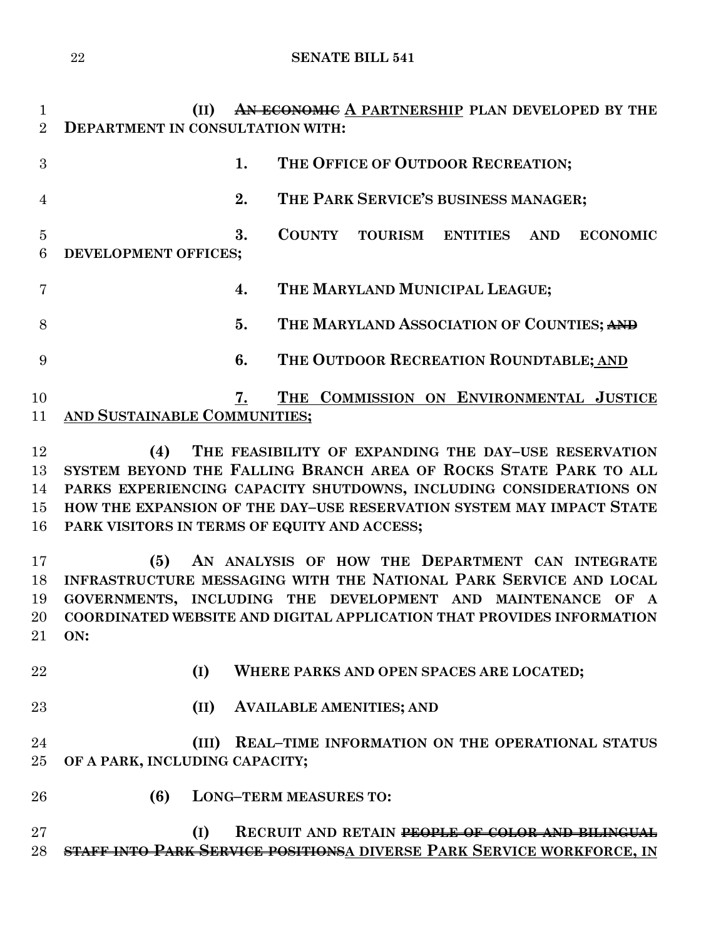**(II) AN ECONOMIC A PARTNERSHIP PLAN DEVELOPED BY THE DEPARTMENT IN CONSULTATION WITH: 1. THE OFFICE OF OUTDOOR RECREATION; 2. THE PARK SERVICE'S BUSINESS MANAGER; 3. COUNTY TOURISM ENTITIES AND ECONOMIC DEVELOPMENT OFFICES; 4. THE MARYLAND MUNICIPAL LEAGUE; 5. THE MARYLAND ASSOCIATION OF COUNTIES; AND 6. THE OUTDOOR RECREATION ROUNDTABLE; AND 7. THE COMMISSION ON ENVIRONMENTAL JUSTICE AND SUSTAINABLE COMMUNITIES; (4) THE FEASIBILITY OF EXPANDING THE DAY–USE RESERVATION SYSTEM BEYOND THE FALLING BRANCH AREA OF ROCKS STATE PARK TO ALL PARKS EXPERIENCING CAPACITY SHUTDOWNS, INCLUDING CONSIDERATIONS ON HOW THE EXPANSION OF THE DAY–USE RESERVATION SYSTEM MAY IMPACT STATE PARK VISITORS IN TERMS OF EQUITY AND ACCESS; (5) AN ANALYSIS OF HOW THE DEPARTMENT CAN INTEGRATE INFRASTRUCTURE MESSAGING WITH THE NATIONAL PARK SERVICE AND LOCAL GOVERNMENTS, INCLUDING THE DEVELOPMENT AND MAINTENANCE OF A COORDINATED WEBSITE AND DIGITAL APPLICATION THAT PROVIDES INFORMATION ON: (I) WHERE PARKS AND OPEN SPACES ARE LOCATED; (II) AVAILABLE AMENITIES; AND (III) REAL–TIME INFORMATION ON THE OPERATIONAL STATUS OF A PARK, INCLUDING CAPACITY; (6) LONG–TERM MEASURES TO: (I) RECRUIT AND RETAIN PEOPLE OF COLOR AND BILINGUAL STAFF INTO PARK SERVICE POSITIONSA DIVERSE PARK SERVICE WORKFORCE, IN**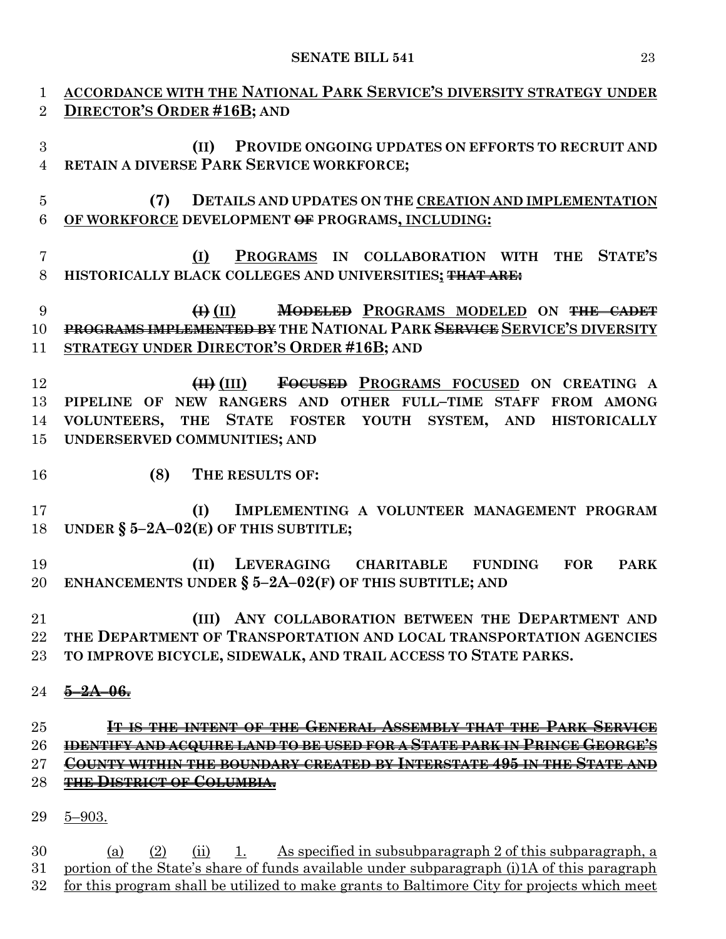| $\mathbf{1}$   | <b>ACCORDANCE WITH THE NATIONAL PARK SERVICE'S DIVERSITY STRATEGY UNDER</b>                 |
|----------------|---------------------------------------------------------------------------------------------|
| 2              | DIRECTOR'S ORDER #16B; AND                                                                  |
|                |                                                                                             |
| 3              | PROVIDE ONGOING UPDATES ON EFFORTS TO RECRUIT AND<br>(II)                                   |
| $\overline{4}$ | RETAIN A DIVERSE PARK SERVICE WORKFORCE;                                                    |
|                |                                                                                             |
| $\overline{5}$ | (7)<br>DETAILS AND UPDATES ON THE CREATION AND IMPLEMENTATION                               |
| $\,6\,$        | OF WORKFORCE DEVELOPMENT OF PROGRAMS, INCLUDING:                                            |
|                |                                                                                             |
|                |                                                                                             |
| $\overline{7}$ | PROGRAMS IN COLLABORATION WITH THE STATE'S<br>(I)                                           |
| 8              | HISTORICALLY BLACK COLLEGES AND UNIVERSITIES; THAT ARE:                                     |
|                |                                                                                             |
| 9              | <b>MODELED PROGRAMS MODELED ON THE CADET</b><br>$\bigoplus$ (II)                            |
| 10             | PROGRAMS IMPLEMENTED BY THE NATIONAL PARK SERVICE SERVICE'S DIVERSITY                       |
| 11             | STRATEGY UNDER DIRECTOR'S ORDER #16B; AND                                                   |
|                |                                                                                             |
| 12             | FOCUSED PROGRAMS FOCUSED ON CREATING A<br>$(H)$ (III)                                       |
| 13             | PIPELINE OF NEW RANGERS AND OTHER FULL-TIME STAFF FROM AMONG                                |
| 14             | VOLUNTEERS, THE STATE FOSTER YOUTH SYSTEM, AND HISTORICALLY                                 |
| 15             | UNDERSERVED COMMUNITIES; AND                                                                |
|                |                                                                                             |
| 16             | (8)<br>THE RESULTS OF:                                                                      |
|                |                                                                                             |
| 17             | IMPLEMENTING A VOLUNTEER MANAGEMENT PROGRAM<br>(I)                                          |
|                |                                                                                             |
| 18             | UNDER $\S$ 5-2A-02(E) OF THIS SUBTITLE;                                                     |
|                |                                                                                             |
| 19             | LEVERAGING CHARITABLE FUNDING FOR<br>(II)<br><b>PARK</b>                                    |
| 20             | ENHANCEMENTS UNDER $\S$ 5-2A-02(F) OF THIS SUBTITLE; AND                                    |
|                |                                                                                             |
| 21             | (III) ANY COLLABORATION BETWEEN THE DEPARTMENT AND                                          |
| 22             | THE DEPARTMENT OF TRANSPORTATION AND LOCAL TRANSPORTATION AGENCIES                          |
| 23             | TO IMPROVE BICYCLE, SIDEWALK, AND TRAIL ACCESS TO STATE PARKS.                              |
|                |                                                                                             |
| 24             | <del>-2A-06.</del>                                                                          |
|                |                                                                                             |
| 25             | IT IS THE INTENT OF THE GENERAL ASSEMBLY THAT THE PARK SERVICE                              |
| 26             | <del>IDENTIFY AND ACQUIRE LAND TO BE USED FOR A STATE PARK IN PRINCE GEORGE'S</del>         |
| $27\,$         | <b>COUNTY WITHIN THE BOUNDARY CREATED BY INTERSTATE 495 IN THE STATE AND</b>                |
| 28             | <b>THE DISTRICT OF COLUMBIA.</b>                                                            |
|                |                                                                                             |
| 29             | $5 - 903.$                                                                                  |
|                |                                                                                             |
| 30             | As specified in subsubparagraph 2 of this subparagraph, a<br>(a)<br>(2)<br>(ii)<br>1.       |
| 31             | portion of the State's share of funds available under subparagraph (i) 1A of this paragraph |

for this program shall be utilized to make grants to Baltimore City for projects which meet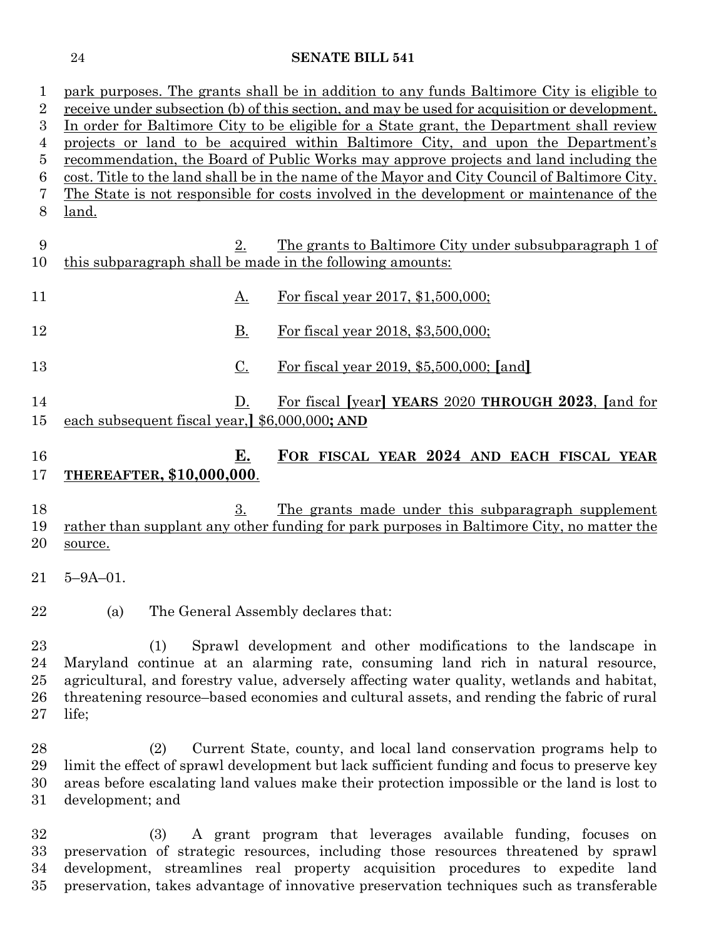|                      | park purposes. The grants shall be in addition to any funds Baltimore City is eligible to       |
|----------------------|-------------------------------------------------------------------------------------------------|
| 2                    | receive under subsection (b) of this section, and may be used for acquisition or development.   |
| 3                    | In order for Baltimore City to be eligible for a State grant, the Department shall review       |
| 4                    | projects or land to be acquired within Baltimore City, and upon the Department's                |
| 5                    | recommendation, the Board of Public Works may approve projects and land including the           |
| 6                    | cost. Title to the land shall be in the name of the Mayor and City Council of Baltimore City.   |
| 7                    | <u>The State is not responsible for costs involved in the development or maintenance of the</u> |
| 8                    |                                                                                                 |
|                      | <u>land.</u>                                                                                    |
|                      |                                                                                                 |
| 9                    | 2.<br><u>The grants to Baltimore City under subsubparagraph 1 of</u>                            |
| 10                   | this subparagraph shall be made in the following amounts:                                       |
|                      |                                                                                                 |
| 11                   | For fiscal year 2017, \$1,500,000;<br><u>A.</u>                                                 |
|                      |                                                                                                 |
| 12                   | Β.<br>For fiscal year 2018, \$3,500,000;                                                        |
|                      |                                                                                                 |
| 13                   | $C$ .<br><u>For fiscal year 2019, \$5,500,000; [and]</u>                                        |
|                      |                                                                                                 |
| 14                   | For fiscal [year] YEARS 2020 THROUGH 2023, [and for<br>D.                                       |
| 15                   | each subsequent fiscal year, §6,000,000; AND                                                    |
|                      |                                                                                                 |
| 16                   | <u>E.</u><br>FOR FISCAL YEAR 2024 AND EACH FISCAL YEAR                                          |
|                      |                                                                                                 |
| 17                   | <b>THEREAFTER, \$10,000,000.</b>                                                                |
|                      | 3.<br>The grants made under this subparagraph supplement                                        |
| 18                   |                                                                                                 |
|                      |                                                                                                 |
|                      | rather than supplant any other funding for park purposes in Baltimore City, no matter the       |
|                      | source.                                                                                         |
|                      |                                                                                                 |
|                      | $5 - 9A - 01$ .                                                                                 |
|                      |                                                                                                 |
|                      | The General Assembly declares that:<br>(a)                                                      |
| 19<br>20<br>21<br>22 |                                                                                                 |
| $23\,$               | Sprawl development and other modifications to the landscape in<br>(1)                           |
|                      | Maryland continue at an alarming rate, consuming land rich in natural resource,                 |
| 24                   |                                                                                                 |
| 25                   | agricultural, and forestry value, adversely affecting water quality, wetlands and habitat,      |
| $26\,$               | threatening resource–based economies and cultural assets, and rending the fabric of rural       |
| $27\,$               | life;                                                                                           |
|                      |                                                                                                 |
|                      | Current State, county, and local land conservation programs help to<br>(2)                      |
| 28<br>29             | limit the effect of sprawl development but lack sufficient funding and focus to preserve key    |
| 30                   | areas before escalating land values make their protection impossible or the land is lost to     |
| $31\,$               | development; and                                                                                |
| $32\,$               | (3)<br>A grant program that leverages available funding, focuses on                             |

 preservation of strategic resources, including those resources threatened by sprawl development, streamlines real property acquisition procedures to expedite land preservation, takes advantage of innovative preservation techniques such as transferable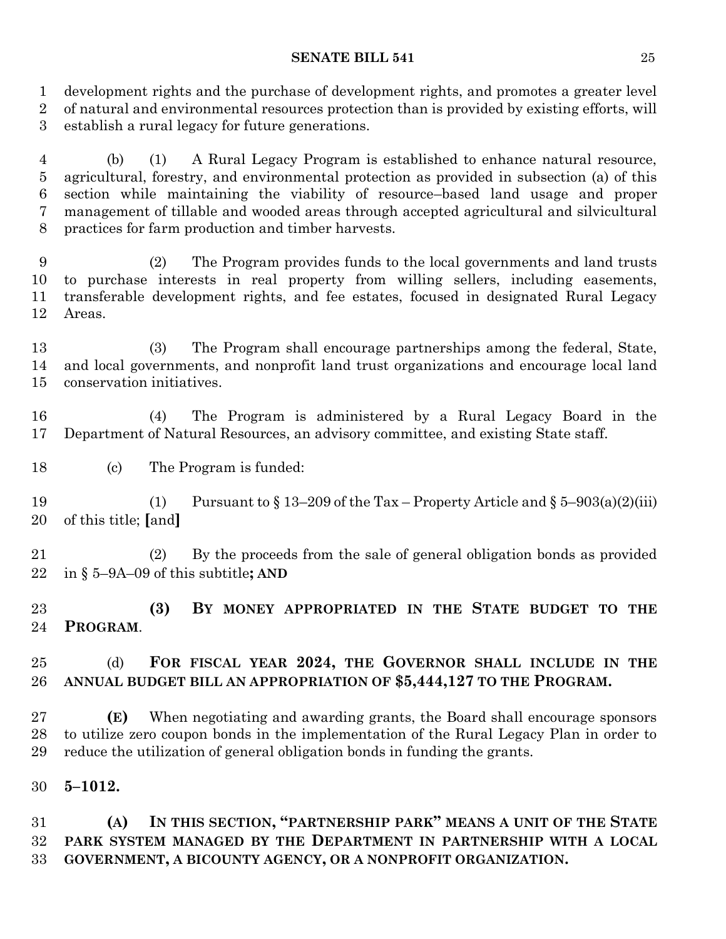development rights and the purchase of development rights, and promotes a greater level of natural and environmental resources protection than is provided by existing efforts, will establish a rural legacy for future generations.

 (b) (1) A Rural Legacy Program is established to enhance natural resource, agricultural, forestry, and environmental protection as provided in subsection (a) of this section while maintaining the viability of resource–based land usage and proper management of tillable and wooded areas through accepted agricultural and silvicultural practices for farm production and timber harvests.

 (2) The Program provides funds to the local governments and land trusts to purchase interests in real property from willing sellers, including easements, transferable development rights, and fee estates, focused in designated Rural Legacy Areas.

 (3) The Program shall encourage partnerships among the federal, State, and local governments, and nonprofit land trust organizations and encourage local land conservation initiatives.

 (4) The Program is administered by a Rural Legacy Board in the Department of Natural Resources, an advisory committee, and existing State staff.

(c) The Program is funded:

19 (1) Pursuant to  $\S 13-209$  of the Tax – Property Article and  $\S 5-903(a)(2)(iii)$ of this title; **[**and**]**

 (2) By the proceeds from the sale of general obligation bonds as provided in § 5–9A–09 of this subtitle**; AND**

 **(3) BY MONEY APPROPRIATED IN THE STATE BUDGET TO THE PROGRAM**.

# (d) **FOR FISCAL YEAR 2024, THE GOVERNOR SHALL INCLUDE IN THE ANNUAL BUDGET BILL AN APPROPRIATION OF \$5,444,127 TO THE PROGRAM.**

 **(E)** When negotiating and awarding grants, the Board shall encourage sponsors to utilize zero coupon bonds in the implementation of the Rural Legacy Plan in order to reduce the utilization of general obligation bonds in funding the grants.

**5–1012.**

 **(A) IN THIS SECTION, "PARTNERSHIP PARK" MEANS A UNIT OF THE STATE PARK SYSTEM MANAGED BY THE DEPARTMENT IN PARTNERSHIP WITH A LOCAL GOVERNMENT, A BICOUNTY AGENCY, OR A NONPROFIT ORGANIZATION.**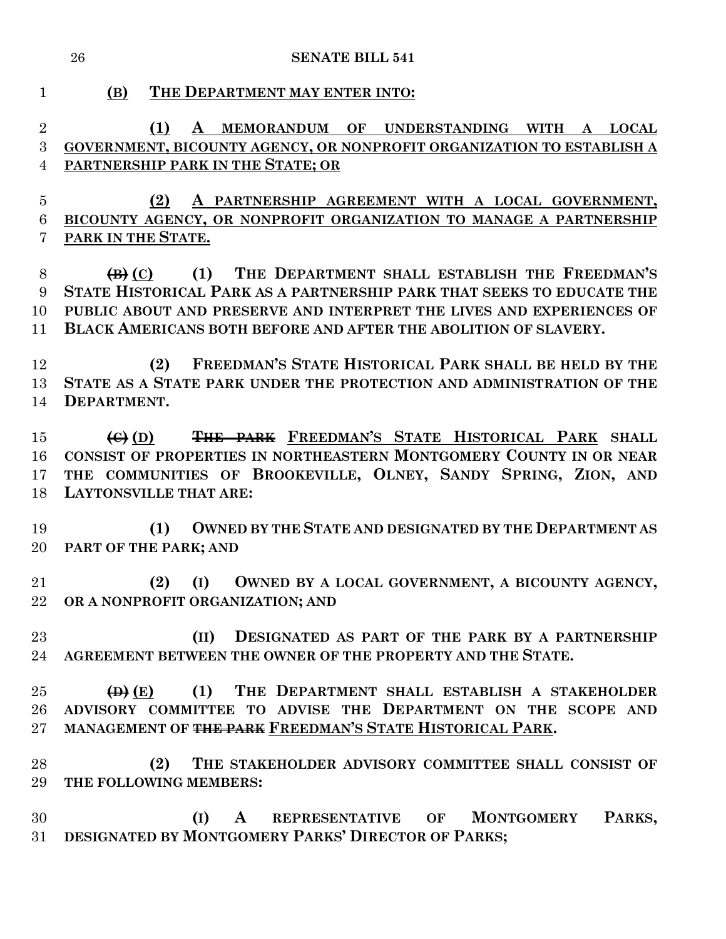**(1) A MEMORANDUM OF UNDERSTANDING WITH A LOCAL GOVERNMENT, BICOUNTY AGENCY, OR NONPROFIT ORGANIZATION TO ESTABLISH A**

**(B) THE DEPARTMENT MAY ENTER INTO:**

**PARTNERSHIP PARK IN THE STATE; OR**

 **(2) A PARTNERSHIP AGREEMENT WITH A LOCAL GOVERNMENT, BICOUNTY AGENCY, OR NONPROFIT ORGANIZATION TO MANAGE A PARTNERSHIP PARK IN THE STATE. (B) (C) (1) THE DEPARTMENT SHALL ESTABLISH THE FREEDMAN'S STATE HISTORICAL PARK AS A PARTNERSHIP PARK THAT SEEKS TO EDUCATE THE PUBLIC ABOUT AND PRESERVE AND INTERPRET THE LIVES AND EXPERIENCES OF BLACK AMERICANS BOTH BEFORE AND AFTER THE ABOLITION OF SLAVERY. (2) FREEDMAN'S STATE HISTORICAL PARK SHALL BE HELD BY THE STATE AS A STATE PARK UNDER THE PROTECTION AND ADMINISTRATION OF THE DEPARTMENT. (C) (D) THE PARK FREEDMAN'S STATE HISTORICAL PARK SHALL CONSIST OF PROPERTIES IN NORTHEASTERN MONTGOMERY COUNTY IN OR NEAR THE COMMUNITIES OF BROOKEVILLE, OLNEY, SANDY SPRING, ZION, AND LAYTONSVILLE THAT ARE: (1) OWNED BY THE STATE AND DESIGNATED BY THE DEPARTMENT AS PART OF THE PARK; AND (2) (I) OWNED BY A LOCAL GOVERNMENT, A BICOUNTY AGENCY, OR A NONPROFIT ORGANIZATION; AND (II) DESIGNATED AS PART OF THE PARK BY A PARTNERSHIP AGREEMENT BETWEEN THE OWNER OF THE PROPERTY AND THE STATE. (D) (E) (1) THE DEPARTMENT SHALL ESTABLISH A STAKEHOLDER**  26 ADVISORY COMMITTEE TO ADVISE THE DEPARTMENT ON THE SCOPE AND **MANAGEMENT OF THE PARK FREEDMAN'S STATE HISTORICAL PARK. (2) THE STAKEHOLDER ADVISORY COMMITTEE SHALL CONSIST OF THE FOLLOWING MEMBERS: (I) A REPRESENTATIVE OF MONTGOMERY PARKS, DESIGNATED BY MONTGOMERY PARKS' DIRECTOR OF PARKS;**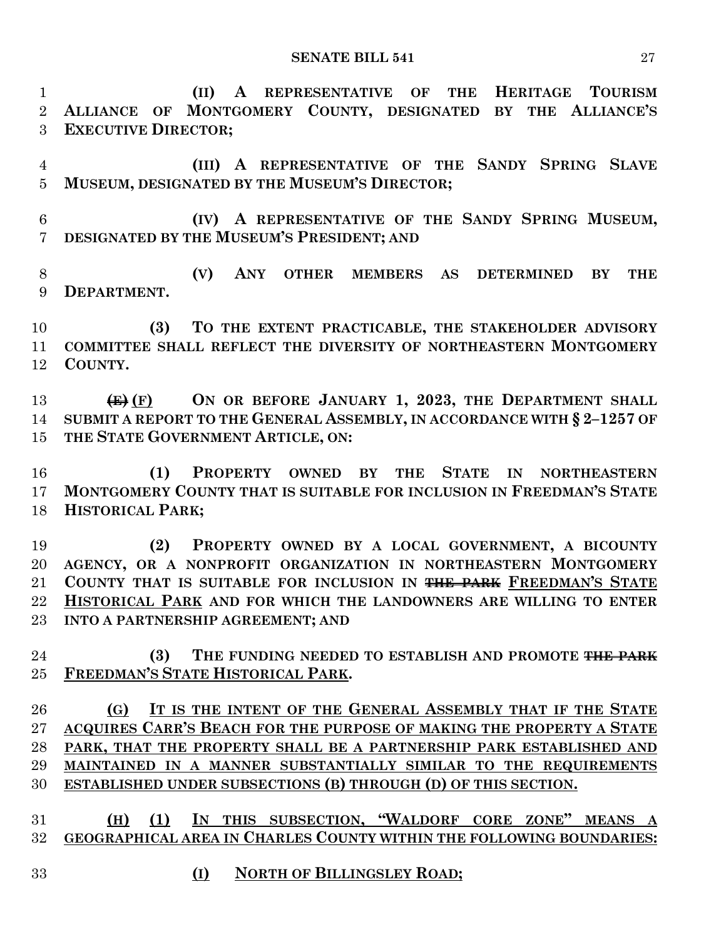**(II) A REPRESENTATIVE OF THE HERITAGE TOURISM ALLIANCE OF MONTGOMERY COUNTY, DESIGNATED BY THE ALLIANCE'S EXECUTIVE DIRECTOR;**

 **(III) A REPRESENTATIVE OF THE SANDY SPRING SLAVE MUSEUM, DESIGNATED BY THE MUSEUM'S DIRECTOR;**

 **(IV) A REPRESENTATIVE OF THE SANDY SPRING MUSEUM, DESIGNATED BY THE MUSEUM'S PRESIDENT; AND** 

 **(V) ANY OTHER MEMBERS AS DETERMINED BY THE DEPARTMENT.**

 **(3) TO THE EXTENT PRACTICABLE, THE STAKEHOLDER ADVISORY COMMITTEE SHALL REFLECT THE DIVERSITY OF NORTHEASTERN MONTGOMERY COUNTY.**

 **(E) (F) ON OR BEFORE JANUARY 1, 2023, THE DEPARTMENT SHALL SUBMIT A REPORT TO THE GENERAL ASSEMBLY, IN ACCORDANCE WITH § 2–1257 OF THE STATE GOVERNMENT ARTICLE, ON:**

 **(1) PROPERTY OWNED BY THE STATE IN NORTHEASTERN MONTGOMERY COUNTY THAT IS SUITABLE FOR INCLUSION IN FREEDMAN'S STATE HISTORICAL PARK;**

 **(2) PROPERTY OWNED BY A LOCAL GOVERNMENT, A BICOUNTY AGENCY, OR A NONPROFIT ORGANIZATION IN NORTHEASTERN MONTGOMERY COUNTY THAT IS SUITABLE FOR INCLUSION IN THE PARK FREEDMAN'S STATE HISTORICAL PARK AND FOR WHICH THE LANDOWNERS ARE WILLING TO ENTER INTO A PARTNERSHIP AGREEMENT; AND**

 **(3) THE FUNDING NEEDED TO ESTABLISH AND PROMOTE THE PARK FREEDMAN'S STATE HISTORICAL PARK.**

 **(G) IT IS THE INTENT OF THE GENERAL ASSEMBLY THAT IF THE STATE ACQUIRES CARR'S BEACH FOR THE PURPOSE OF MAKING THE PROPERTY A STATE PARK, THAT THE PROPERTY SHALL BE A PARTNERSHIP PARK ESTABLISHED AND MAINTAINED IN A MANNER SUBSTANTIALLY SIMILAR TO THE REQUIREMENTS ESTABLISHED UNDER SUBSECTIONS (B) THROUGH (D) OF THIS SECTION.**

 **(H) (1) IN THIS SUBSECTION, "WALDORF CORE ZONE" MEANS A GEOGRAPHICAL AREA IN CHARLES COUNTY WITHIN THE FOLLOWING BOUNDARIES:**

- **(I) NORTH OF BILLINGSLEY ROAD;**
	-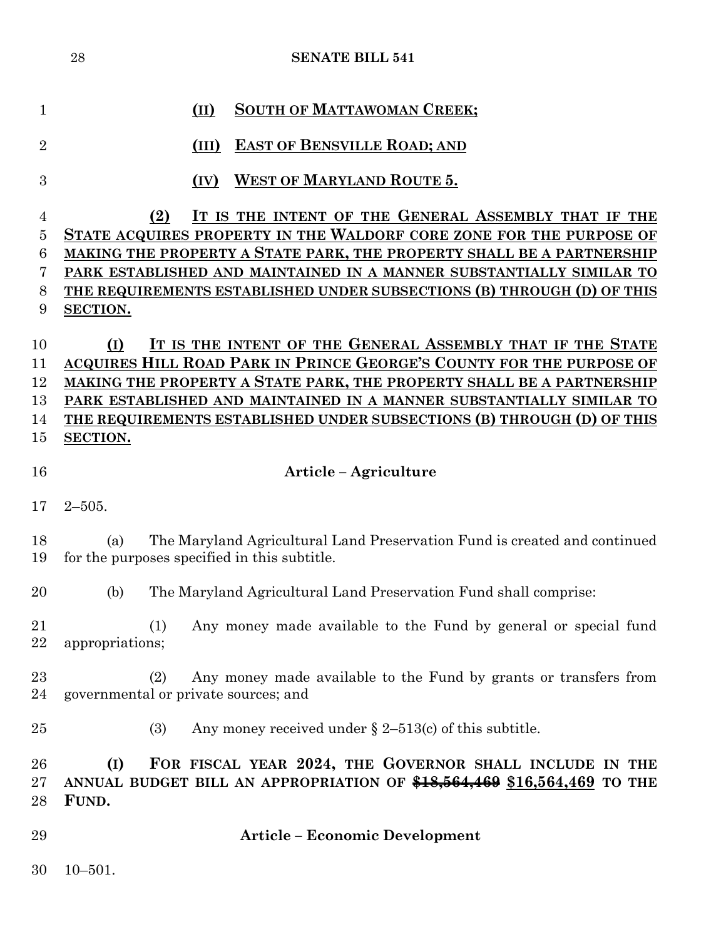| $\mathbf{1}$   | <b>SOUTH OF MATTAWOMAN CREEK;</b><br>(II)                                                                                        |
|----------------|----------------------------------------------------------------------------------------------------------------------------------|
| $\overline{2}$ | <b>EAST OF BENSVILLE ROAD; AND</b><br>(III)                                                                                      |
| 3              | <b>WEST OF MARYLAND ROUTE 5.</b><br>(IV)                                                                                         |
| $\overline{4}$ | IT IS THE INTENT OF THE GENERAL ASSEMBLY THAT IF THE<br>(2)                                                                      |
| 5              | STATE ACQUIRES PROPERTY IN THE WALDORF CORE ZONE FOR THE PURPOSE OF                                                              |
| 6              | MAKING THE PROPERTY A STATE PARK, THE PROPERTY SHALL BE A PARTNERSHIP                                                            |
| 7              | PARK ESTABLISHED AND MAINTAINED IN A MANNER SUBSTANTIALLY SIMILAR TO                                                             |
| 8              | THE REQUIREMENTS ESTABLISHED UNDER SUBSECTIONS (B) THROUGH (D) OF THIS                                                           |
| 9              | <b>SECTION.</b>                                                                                                                  |
| 10             | IT IS THE INTENT OF THE GENERAL ASSEMBLY THAT IF THE STATE<br>(I)                                                                |
| 11             | ACQUIRES HILL ROAD PARK IN PRINCE GEORGE'S COUNTY FOR THE PURPOSE OF                                                             |
| 12             | MAKING THE PROPERTY A STATE PARK, THE PROPERTY SHALL BE A PARTNERSHIP                                                            |
| 13             | PARK ESTABLISHED AND MAINTAINED IN A MANNER SUBSTANTIALLY SIMILAR TO                                                             |
| 14             | THE REQUIREMENTS ESTABLISHED UNDER SUBSECTIONS (B) THROUGH (D) OF THIS                                                           |
| 15             | <b>SECTION.</b>                                                                                                                  |
| 16             | Article – Agriculture                                                                                                            |
| 17             | $2 - 505$ .                                                                                                                      |
| 18<br>19       | The Maryland Agricultural Land Preservation Fund is created and continued<br>(a)<br>for the purposes specified in this subtitle. |
| 20             | The Maryland Agricultural Land Preservation Fund shall comprise:<br>(b)                                                          |
| 21<br>22       | (1) Any money made available to the Fund by general or special fund<br>appropriations;                                           |
| 23<br>24       | Any money made available to the Fund by grants or transfers from<br>(2)<br>governmental or private sources; and                  |
| 25             | Any money received under $\S 2-513(c)$ of this subtitle.<br>(3)                                                                  |
| 26             | FOR FISCAL YEAR 2024, THE GOVERNOR SHALL INCLUDE IN THE<br>(I)                                                                   |
| 27             | ANNUAL BUDGET BILL AN APPROPRIATION OF \$18,564,469 \$16,564,469 TO THE                                                          |
| 28             | FUND.                                                                                                                            |
|                |                                                                                                                                  |
| 29             | <b>Article - Economic Development</b>                                                                                            |

10–501.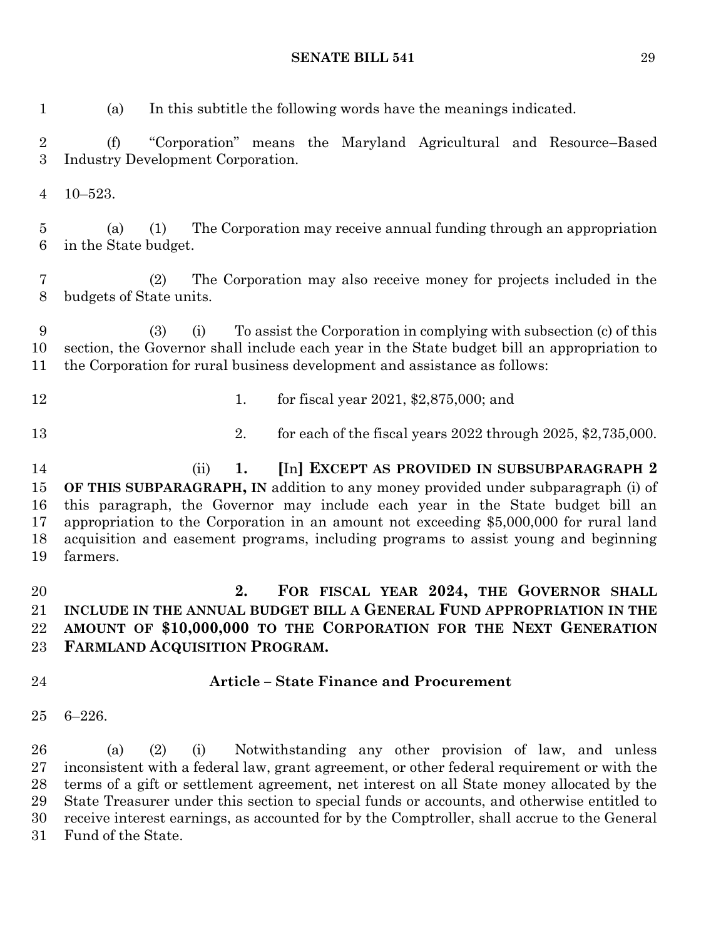(a) In this subtitle the following words have the meanings indicated.

 (f) "Corporation" means the Maryland Agricultural and Resource–Based Industry Development Corporation.

10–523.

 (a) (1) The Corporation may receive annual funding through an appropriation in the State budget.

 (2) The Corporation may also receive money for projects included in the budgets of State units.

 (3) (i) To assist the Corporation in complying with subsection (c) of this section, the Governor shall include each year in the State budget bill an appropriation to the Corporation for rural business development and assistance as follows:

- 
- 12 1. for fiscal year 2021, \$2,875,000; and
- 

2. for each of the fiscal years 2022 through 2025, \$2,735,000.

 (ii) **1. [**In**] EXCEPT AS PROVIDED IN SUBSUBPARAGRAPH 2 OF THIS SUBPARAGRAPH, IN** addition to any money provided under subparagraph (i) of this paragraph, the Governor may include each year in the State budget bill an appropriation to the Corporation in an amount not exceeding \$5,000,000 for rural land acquisition and easement programs, including programs to assist young and beginning farmers.

 **2. FOR FISCAL YEAR 2024, THE GOVERNOR SHALL INCLUDE IN THE ANNUAL BUDGET BILL A GENERAL FUND APPROPRIATION IN THE AMOUNT OF \$10,000,000 TO THE CORPORATION FOR THE NEXT GENERATION FARMLAND ACQUISITION PROGRAM.**

# **Article – State Finance and Procurement**

6–226.

 (a) (2) (i) Notwithstanding any other provision of law, and unless inconsistent with a federal law, grant agreement, or other federal requirement or with the terms of a gift or settlement agreement, net interest on all State money allocated by the State Treasurer under this section to special funds or accounts, and otherwise entitled to receive interest earnings, as accounted for by the Comptroller, shall accrue to the General Fund of the State.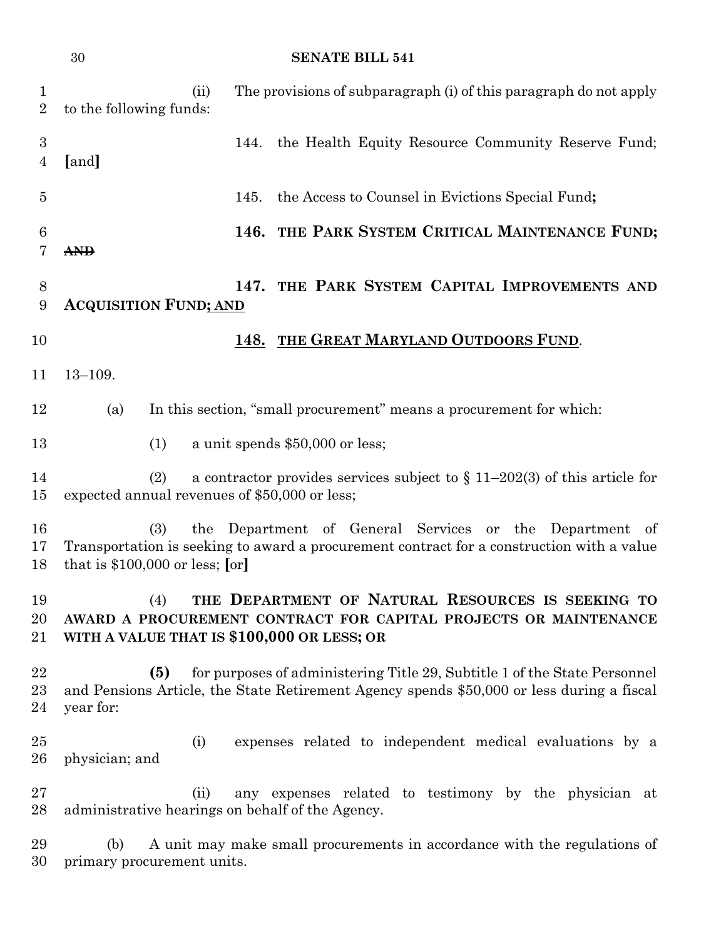| 1<br>$\overline{2}$   | (ii)<br>to the following funds:                          | The provisions of subparagraph (i) of this paragraph do not apply                                                                                                      |
|-----------------------|----------------------------------------------------------|------------------------------------------------------------------------------------------------------------------------------------------------------------------------|
| 3<br>$\overline{4}$   | [and]                                                    | the Health Equity Resource Community Reserve Fund;<br>144.                                                                                                             |
| $\overline{5}$        |                                                          | the Access to Counsel in Evictions Special Fund;<br>145.                                                                                                               |
| $\boldsymbol{6}$<br>7 | <b>AND</b>                                               | 146. THE PARK SYSTEM CRITICAL MAINTENANCE FUND;                                                                                                                        |
| 8<br>9                | <b>ACQUISITION FUND; AND</b>                             | THE PARK SYSTEM CAPITAL IMPROVEMENTS AND<br>147.                                                                                                                       |
| 10                    |                                                          | 148. THE GREAT MARYLAND OUTDOORS FUND.                                                                                                                                 |
| 11                    | $13 - 109.$                                              |                                                                                                                                                                        |
| 12                    | (a)                                                      | In this section, "small procurement" means a procurement for which:                                                                                                    |
| 13                    | (1)                                                      | a unit spends \$50,000 or less;                                                                                                                                        |
| 14<br>15              | (2)<br>expected annual revenues of \$50,000 or less;     | a contractor provides services subject to $\S 11-202(3)$ of this article for                                                                                           |
| 16<br>17<br>18        | (3)<br>that is $$100,000$ or less; [or]                  | the Department of General Services or the Department<br>of<br>Transportation is seeking to award a procurement contract for a construction with a value                |
| 19<br>20<br>21        | (4)<br>WITH A VALUE THAT IS \$100,000 OR LESS; OR        | THE DEPARTMENT OF NATURAL RESOURCES IS SEEKING TO<br>AWARD A PROCUREMENT CONTRACT FOR CAPITAL PROJECTS OR MAINTENANCE                                                  |
| $\bf{22}$<br>23<br>24 | (5)<br>year for:                                         | for purposes of administering Title 29, Subtitle 1 of the State Personnel<br>and Pensions Article, the State Retirement Agency spends \$50,000 or less during a fiscal |
| 25<br>26              | (i)<br>physician; and                                    | expenses related to independent medical evaluations by a                                                                                                               |
| $27\,$<br>28          | (ii)<br>administrative hearings on behalf of the Agency. | any expenses related to testimony by the physician at                                                                                                                  |
| 29<br>30              | (b)<br>primary procurement units.                        | A unit may make small procurements in accordance with the regulations of                                                                                               |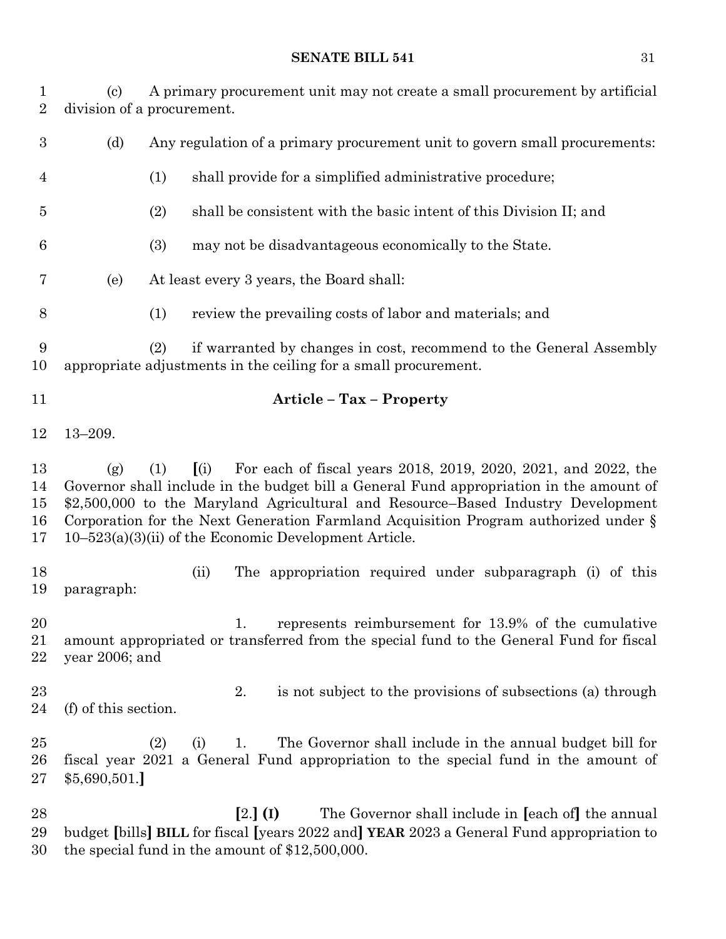(c) A primary procurement unit may not create a small procurement by artificial division of a procurement. (d) Any regulation of a primary procurement unit to govern small procurements: (1) shall provide for a simplified administrative procedure; (2) shall be consistent with the basic intent of this Division II; and (3) may not be disadvantageous economically to the State. (e) At least every 3 years, the Board shall: (1) review the prevailing costs of labor and materials; and (2) if warranted by changes in cost, recommend to the General Assembly appropriate adjustments in the ceiling for a small procurement. **Article – Tax – Property** 13–209. (g) (1) **[**(i) For each of fiscal years 2018, 2019, 2020, 2021, and 2022, the Governor shall include in the budget bill a General Fund appropriation in the amount of \$2,500,000 to the Maryland Agricultural and Resource–Based Industry Development Corporation for the Next Generation Farmland Acquisition Program authorized under § 10–523(a)(3)(ii) of the Economic Development Article. (ii) The appropriation required under subparagraph (i) of this paragraph: 1. represents reimbursement for 13.9% of the cumulative amount appropriated or transferred from the special fund to the General Fund for fiscal year 2006; and 23 23 2. is not subject to the provisions of subsections (a) through (f) of this section. (2) (i) 1. The Governor shall include in the annual budget bill for fiscal year 2021 a General Fund appropriation to the special fund in the amount of \$5,690,501.**] [**2.**] (I)** The Governor shall include in **[**each of**]** the annual budget **[**bills**] BILL** for fiscal **[**years 2022 and**] YEAR** 2023 a General Fund appropriation to the special fund in the amount of \$12,500,000.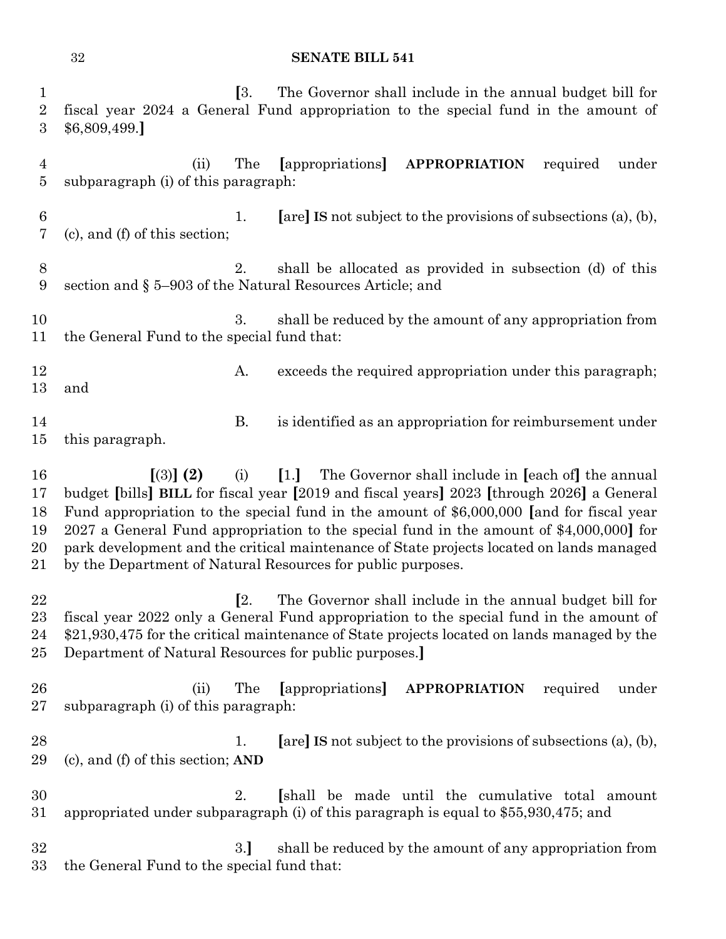| $\mathbf{1}$<br>$\overline{2}$<br>3 | <b>[3.</b><br>The Governor shall include in the annual budget bill for<br>fiscal year 2024 a General Fund appropriation to the special fund in the amount of<br>\$6,809,499.                                                                                                                                                                                                                                                                                                                                               |
|-------------------------------------|----------------------------------------------------------------------------------------------------------------------------------------------------------------------------------------------------------------------------------------------------------------------------------------------------------------------------------------------------------------------------------------------------------------------------------------------------------------------------------------------------------------------------|
| $\overline{4}$<br>$\overline{5}$    | <b>APPROPRIATION</b><br>The<br>[appropriations]<br>required<br>under<br>(ii)<br>subparagraph (i) of this paragraph:                                                                                                                                                                                                                                                                                                                                                                                                        |
| 6<br>7                              | [are] IS not subject to the provisions of subsections $(a)$ , $(b)$ ,<br>1.<br>(c), and (f) of this section;                                                                                                                                                                                                                                                                                                                                                                                                               |
| 8<br>9                              | shall be allocated as provided in subsection (d) of this<br>2.<br>section and $\S 5-903$ of the Natural Resources Article; and                                                                                                                                                                                                                                                                                                                                                                                             |
| 10<br>11                            | shall be reduced by the amount of any appropriation from<br>3.<br>the General Fund to the special fund that:                                                                                                                                                                                                                                                                                                                                                                                                               |
| 12<br>13                            | exceeds the required appropriation under this paragraph;<br>A.<br>and                                                                                                                                                                                                                                                                                                                                                                                                                                                      |
| 14<br>15                            | <b>B.</b><br>is identified as an appropriation for reimbursement under<br>this paragraph.                                                                                                                                                                                                                                                                                                                                                                                                                                  |
| 16<br>17<br>18<br>19<br>20<br>21    | $(3)$ (2)<br>[1.] The Governor shall include in [each of] the annual<br>(i)<br>budget [bills] BILL for fiscal year [2019 and fiscal years] 2023 [through 2026] a General<br>Fund appropriation to the special fund in the amount of \$6,000,000 [and for fiscal year<br>2027 a General Fund appropriation to the special fund in the amount of \$4,000,000] for<br>park development and the critical maintenance of State projects located on lands managed<br>by the Department of Natural Resources for public purposes. |
| 22<br>23<br>24<br>25                | [2.<br>The Governor shall include in the annual budget bill for<br>fiscal year 2022 only a General Fund appropriation to the special fund in the amount of<br>\$21,930,475 for the critical maintenance of State projects located on lands managed by the<br>Department of Natural Resources for public purposes.                                                                                                                                                                                                          |
| 26<br>$27\,$                        | The<br>[appropriations]<br>(ii)<br><b>APPROPRIATION</b><br>required<br>under<br>subparagraph (i) of this paragraph:                                                                                                                                                                                                                                                                                                                                                                                                        |
| 28<br>29                            | [are] IS not subject to the provisions of subsections (a), (b),<br>1.<br>(c), and (f) of this section; AND                                                                                                                                                                                                                                                                                                                                                                                                                 |
| 30<br>31                            | 2.<br>[shall be made until the cumulative total amount<br>appropriated under subparagraph (i) of this paragraph is equal to \$55,930,475; and                                                                                                                                                                                                                                                                                                                                                                              |
| 32<br>$33\,$                        | 3.]<br>shall be reduced by the amount of any appropriation from<br>the General Fund to the special fund that:                                                                                                                                                                                                                                                                                                                                                                                                              |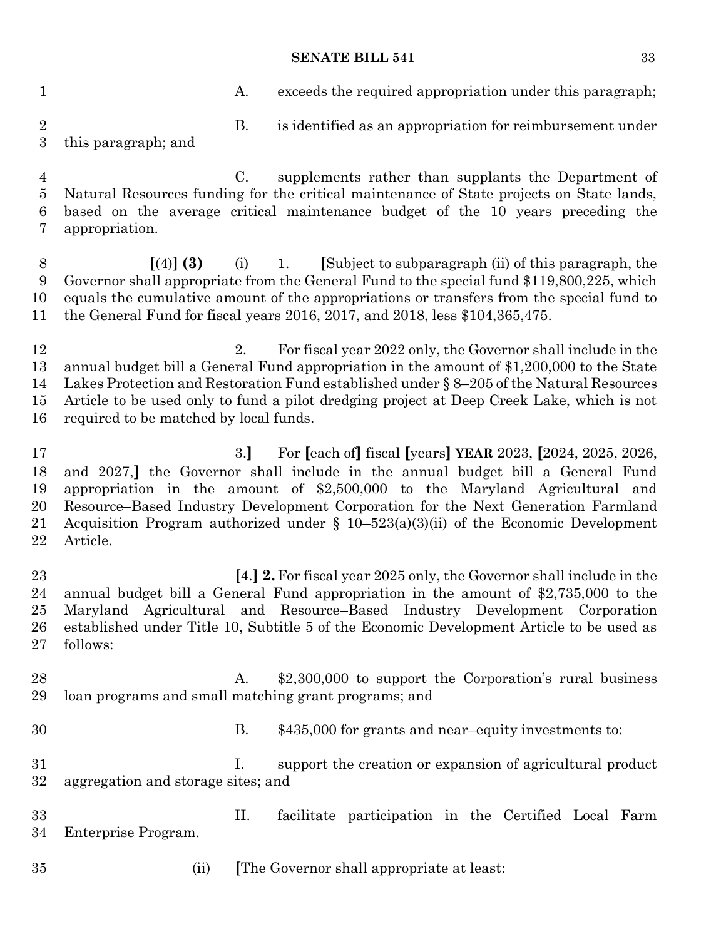1 A. exceeds the required appropriation under this paragraph; B. is identified as an appropriation for reimbursement under this paragraph; and C. supplements rather than supplants the Department of Natural Resources funding for the critical maintenance of State projects on State lands, based on the average critical maintenance budget of the 10 years preceding the appropriation. **[**(4)**] (3)** (i) 1. **[**Subject to subparagraph (ii) of this paragraph, the Governor shall appropriate from the General Fund to the special fund \$119,800,225, which equals the cumulative amount of the appropriations or transfers from the special fund to the General Fund for fiscal years 2016, 2017, and 2018, less \$104,365,475. 12 12 2. For fiscal year 2022 only, the Governor shall include in the annual budget bill a General Fund appropriation in the amount of \$1,200,000 to the State Lakes Protection and Restoration Fund established under § 8–205 of the Natural Resources Article to be used only to fund a pilot dredging project at Deep Creek Lake, which is not required to be matched by local funds. 3.**]** For **[**each of**]** fiscal **[**years**] YEAR** 2023, **[**2024, 2025, 2026, and 2027,**]** the Governor shall include in the annual budget bill a General Fund appropriation in the amount of \$2,500,000 to the Maryland Agricultural and Resource–Based Industry Development Corporation for the Next Generation Farmland 21 Acquisition Program authorized under  $\S$  10–523(a)(3)(ii) of the Economic Development Article. **[**4.**] 2.**For fiscal year 2025 only, the Governor shall include in the annual budget bill a General Fund appropriation in the amount of \$2,735,000 to the Maryland Agricultural and Resource–Based Industry Development Corporation established under Title 10, Subtitle 5 of the Economic Development Article to be used as follows: A. \$2,300,000 to support the Corporation's rural business loan programs and small matching grant programs; and B. \$435,000 for grants and near–equity investments to: I. support the creation or expansion of agricultural product aggregation and storage sites; and II. facilitate participation in the Certified Local Farm Enterprise Program. (ii) **[**The Governor shall appropriate at least: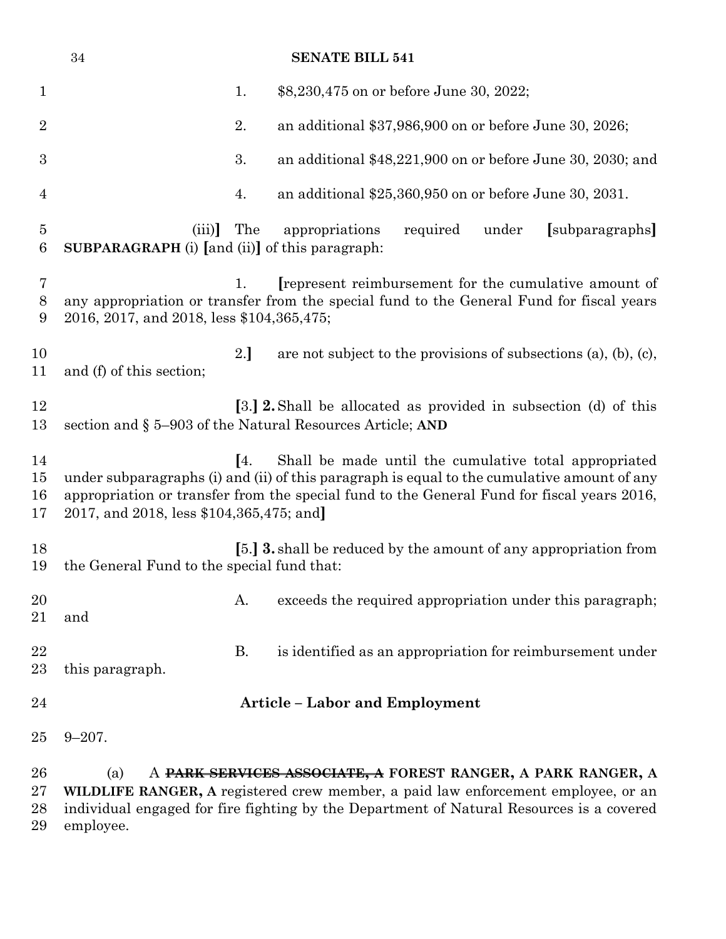|                          | $34\,$                                                         |           | <b>SENATE BILL 541</b>                                                                                                                                                                                                                                   |
|--------------------------|----------------------------------------------------------------|-----------|----------------------------------------------------------------------------------------------------------------------------------------------------------------------------------------------------------------------------------------------------------|
| $\mathbf{1}$             |                                                                | 1.        | \$8,230,475 on or before June 30, 2022;                                                                                                                                                                                                                  |
| $\overline{2}$           |                                                                | 2.        | an additional \$37,986,900 on or before June 30, 2026;                                                                                                                                                                                                   |
| $\boldsymbol{3}$         |                                                                | 3.        | an additional \$48,221,900 on or before June 30, 2030; and                                                                                                                                                                                               |
| $\overline{4}$           |                                                                | 4.        | an additional $$25,360,950$ on or before June 30, 2031.                                                                                                                                                                                                  |
| $\overline{5}$<br>6      | (iii)<br><b>SUBPARAGRAPH</b> (i) [and (ii)] of this paragraph: | The       | under<br>appropriations<br>required<br>[subparagraphs]                                                                                                                                                                                                   |
| 7<br>8<br>9              | 2016, 2017, and 2018, less \$104,365,475;                      | 1.        | represent reimbursement for the cumulative amount of<br>any appropriation or transfer from the special fund to the General Fund for fiscal years                                                                                                         |
| 10<br>11                 | and (f) of this section;                                       | 2.]       | are not subject to the provisions of subsections $(a)$ , $(b)$ , $(c)$ ,                                                                                                                                                                                 |
| 12<br>13                 |                                                                |           | [3.] <b>2.</b> Shall be allocated as provided in subsection (d) of this<br>section and § 5–903 of the Natural Resources Article; AND                                                                                                                     |
| 14<br>15<br>16<br>17     | 2017, and 2018, less \$104,365,475; and                        | [4]       | Shall be made until the cumulative total appropriated<br>under subparagraphs (i) and (ii) of this paragraph is equal to the cumulative amount of any<br>appropriation or transfer from the special fund to the General Fund for fiscal years 2016,       |
| 18<br>19                 | the General Fund to the special fund that:                     |           | [5.] <b>3.</b> shall be reduced by the amount of any appropriation from                                                                                                                                                                                  |
| 20<br>21                 | and                                                            | A.        | exceeds the required appropriation under this paragraph;                                                                                                                                                                                                 |
| 22<br>23                 | this paragraph.                                                | <b>B.</b> | is identified as an appropriation for reimbursement under                                                                                                                                                                                                |
| 24                       |                                                                |           | <b>Article - Labor and Employment</b>                                                                                                                                                                                                                    |
| 25                       | $9 - 207$ .                                                    |           |                                                                                                                                                                                                                                                          |
| 26<br>$27\,$<br>28<br>29 | (a)<br>employee.                                               |           | A <del>PARK SERVICES ASSOCIATE, A</del> FOREST RANGER, A PARK RANGER, A<br>WILDLIFE RANGER, A registered crew member, a paid law enforcement employee, or an<br>individual engaged for fire fighting by the Department of Natural Resources is a covered |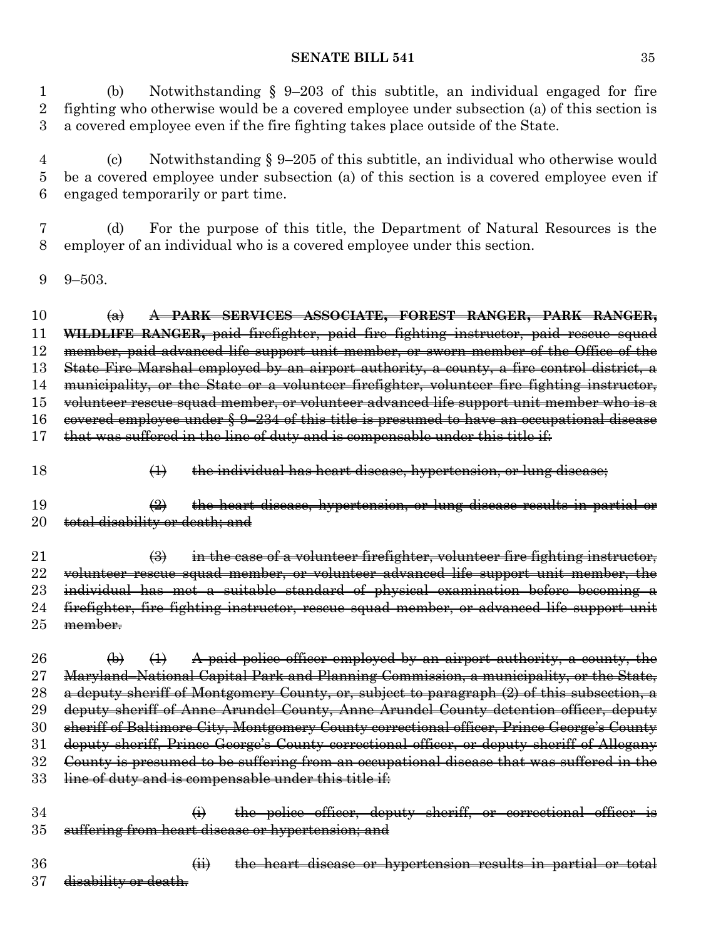(b) Notwithstanding § 9–203 of this subtitle, an individual engaged for fire fighting who otherwise would be a covered employee under subsection (a) of this section is a covered employee even if the fire fighting takes place outside of the State.

 (c) Notwithstanding § 9–205 of this subtitle, an individual who otherwise would be a covered employee under subsection (a) of this section is a covered employee even if engaged temporarily or part time.

 (d) For the purpose of this title, the Department of Natural Resources is the employer of an individual who is a covered employee under this section.

9–503.

 (a) A **PARK SERVICES ASSOCIATE, FOREST RANGER, PARK RANGER, WILDLIFE RANGER,** paid firefighter, paid fire fighting instructor, paid rescue squad member, paid advanced life support unit member, or sworn member of the Office of the State Fire Marshal employed by an airport authority, a county, a fire control district, a municipality, or the State or a volunteer firefighter, volunteer fire fighting instructor, volunteer rescue squad member, or volunteer advanced life support unit member who is a covered employee under § 9–234 of this title is presumed to have an occupational disease that was suffered in the line of duty and is compensable under this title if:

18 (1) the individual has heart disease, hypertension, or lung disease;

 (2) the heart disease, hypertension, or lung disease results in partial or 20 total disability or death; and

21  $\left(\frac{3}{2}\right)$  in the case of a volunteer firefighter, volunteer fire fighting instructor, 22 volunteer rescue squad member, or volunteer advanced life support unit member, the 23 individual has met a suitable standard of physical examination before becoming a 24 firefighter, fire fighting instructor, rescue squad member, or advanced life support unit member.

 $\leftrightarrow$   $\leftrightarrow$   $\leftrightarrow$  A paid police officer employed by an airport authority, a county, the Maryland–National Capital Park and Planning Commission, a municipality, or the State, 28 a deputy sheriff of Montgomery County, or, subject to paragraph (2) of this subsection, a deputy sheriff of Anne Arundel County, Anne Arundel County detention officer, deputy sheriff of Baltimore City, Montgomery County correctional officer, Prince George's County deputy sheriff, Prince George's County correctional officer, or deputy sheriff of Allegany County is presumed to be suffering from an occupational disease that was suffered in the 33 line of duty and is compensable under this title if:

34 (i) the police officer, deputy sheriff, or correctional officer is suffering from heart disease or hypertension; and

 (ii) the heart disease or hypertension results in partial or total 37 <del>disability or death.</del>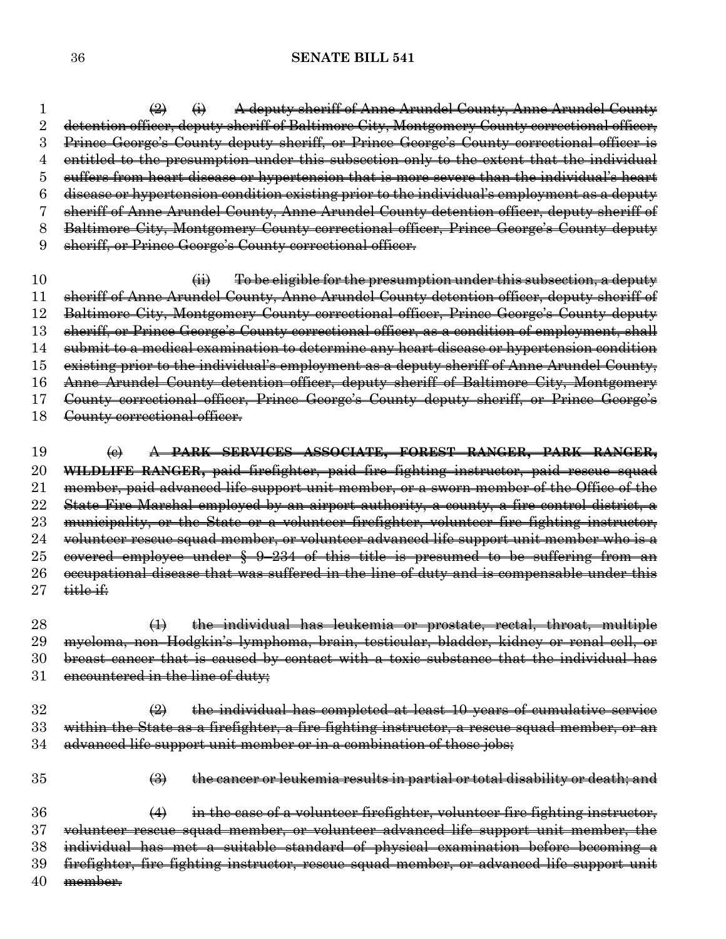$\left( \frac{2}{2} \right)$   $\left( \frac{1}{2} \right)$  A deputy sheriff of Anne Arundel County, Anne Arundel County detention officer, deputy sheriff of Baltimore City, Montgomery County correctional officer, Prince George's County deputy sheriff, or Prince George's County correctional officer is entitled to the presumption under this subsection only to the extent that the individual suffers from heart disease or hypertension that is more severe than the individual's heart disease or hypertension condition existing prior to the individual's employment as a deputy sheriff of Anne Arundel County, Anne Arundel County detention officer, deputy sheriff of Baltimore City, Montgomery County correctional officer, Prince George's County deputy sheriff, or Prince George's County correctional officer.

 $\qquad \qquad \textbf{(ii)} \qquad \textbf{To be eligible for the presentation under this subsection, a depth}$  sheriff of Anne Arundel County, Anne Arundel County detention officer, deputy sheriff of Baltimore City, Montgomery County correctional officer, Prince George's County deputy sheriff, or Prince George's County correctional officer, as a condition of employment, shall submit to a medical examination to determine any heart disease or hypertension condition existing prior to the individual's employment as a deputy sheriff of Anne Arundel County, Anne Arundel County detention officer, deputy sheriff of Baltimore City, Montgomery County correctional officer, Prince George's County deputy sheriff, or Prince George's 18 County correctional officer.

 (c) A **PARK SERVICES ASSOCIATE, FOREST RANGER, PARK RANGER, WILDLIFE RANGER,** paid firefighter, paid fire fighting instructor, paid rescue squad member, paid advanced life support unit member, or a sworn member of the Office of the 22 State Fire Marshal employed by an airport authority, a county, a fire control district, a 23 municipality, or the State or a volunteer firefighter, volunteer fire fighting instructor, 24 volunteer rescue squad member, or volunteer advanced life support unit member who is a 25 eovered employee under § 9-234 of this title is presumed to be suffering from an 26 occupational disease that was suffered in the line of duty and is compensable under this title if:

 (1) the individual has leukemia or prostate, rectal, throat, multiple myeloma, non–Hodgkin's lymphoma, brain, testicular, bladder, kidney or renal cell, or breast cancer that is caused by contact with a toxic substance that the individual has 31 encountered in the line of duty;

 $\overline{2}$  (2) the individual has completed at least 10 years of cumulative service 33 within the State as a firefighter, a fire fighting instructor, a rescue squad member, or an advanced life support unit member or in a combination of those jobs;

(3) the cancer or leukemia results in partial or total disability or death; and

36 (4) in the case of a volunteer firefighter, volunteer fire fighting instructor, volunteer rescue squad member, or volunteer advanced life support unit member, the individual has met a suitable standard of physical examination before becoming a firefighter, fire fighting instructor, rescue squad member, or advanced life support unit member.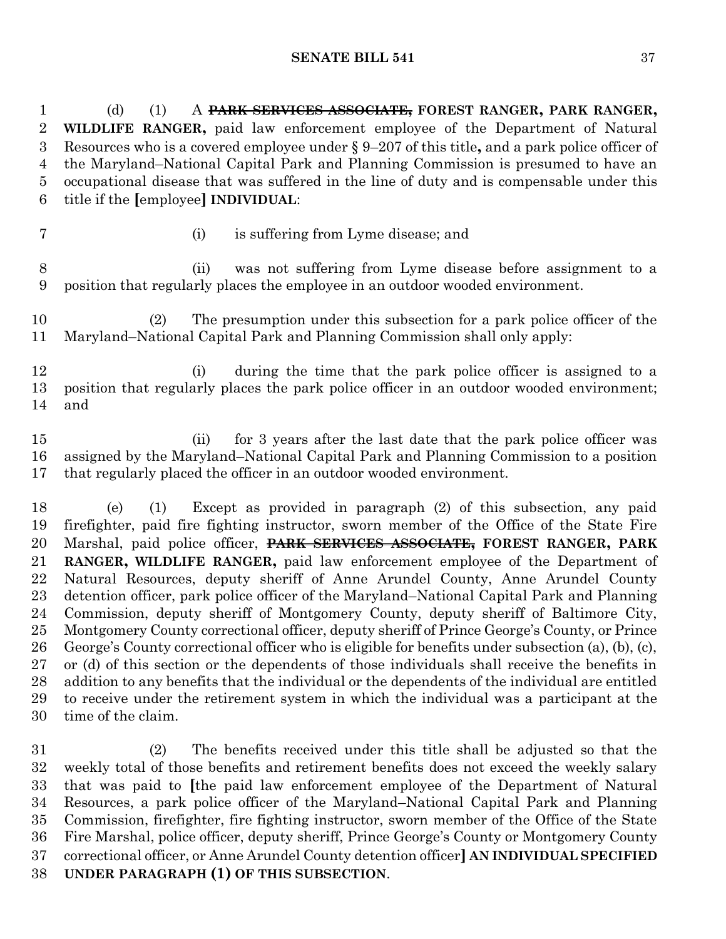(d) (1) A **PARK SERVICES ASSOCIATE, FOREST RANGER, PARK RANGER, WILDLIFE RANGER,** paid law enforcement employee of the Department of Natural Resources who is a covered employee under § 9–207 of this title**,** and a park police officer of the Maryland–National Capital Park and Planning Commission is presumed to have an occupational disease that was suffered in the line of duty and is compensable under this title if the **[**employee**] INDIVIDUAL**:

- 
- (i) is suffering from Lyme disease; and

 (ii) was not suffering from Lyme disease before assignment to a position that regularly places the employee in an outdoor wooded environment.

 (2) The presumption under this subsection for a park police officer of the Maryland–National Capital Park and Planning Commission shall only apply:

 (i) during the time that the park police officer is assigned to a position that regularly places the park police officer in an outdoor wooded environment; and

 (ii) for 3 years after the last date that the park police officer was assigned by the Maryland–National Capital Park and Planning Commission to a position that regularly placed the officer in an outdoor wooded environment.

 (e) (1) Except as provided in paragraph (2) of this subsection, any paid firefighter, paid fire fighting instructor, sworn member of the Office of the State Fire Marshal, paid police officer, **PARK SERVICES ASSOCIATE, FOREST RANGER, PARK RANGER, WILDLIFE RANGER,** paid law enforcement employee of the Department of Natural Resources, deputy sheriff of Anne Arundel County, Anne Arundel County detention officer, park police officer of the Maryland–National Capital Park and Planning Commission, deputy sheriff of Montgomery County, deputy sheriff of Baltimore City, Montgomery County correctional officer, deputy sheriff of Prince George's County, or Prince George's County correctional officer who is eligible for benefits under subsection (a), (b), (c), or (d) of this section or the dependents of those individuals shall receive the benefits in addition to any benefits that the individual or the dependents of the individual are entitled to receive under the retirement system in which the individual was a participant at the time of the claim.

 (2) The benefits received under this title shall be adjusted so that the weekly total of those benefits and retirement benefits does not exceed the weekly salary that was paid to **[**the paid law enforcement employee of the Department of Natural Resources, a park police officer of the Maryland–National Capital Park and Planning Commission, firefighter, fire fighting instructor, sworn member of the Office of the State Fire Marshal, police officer, deputy sheriff, Prince George's County or Montgomery County correctional officer, or Anne Arundel County detention officer**] AN INDIVIDUAL SPECIFIED UNDER PARAGRAPH (1) OF THIS SUBSECTION**.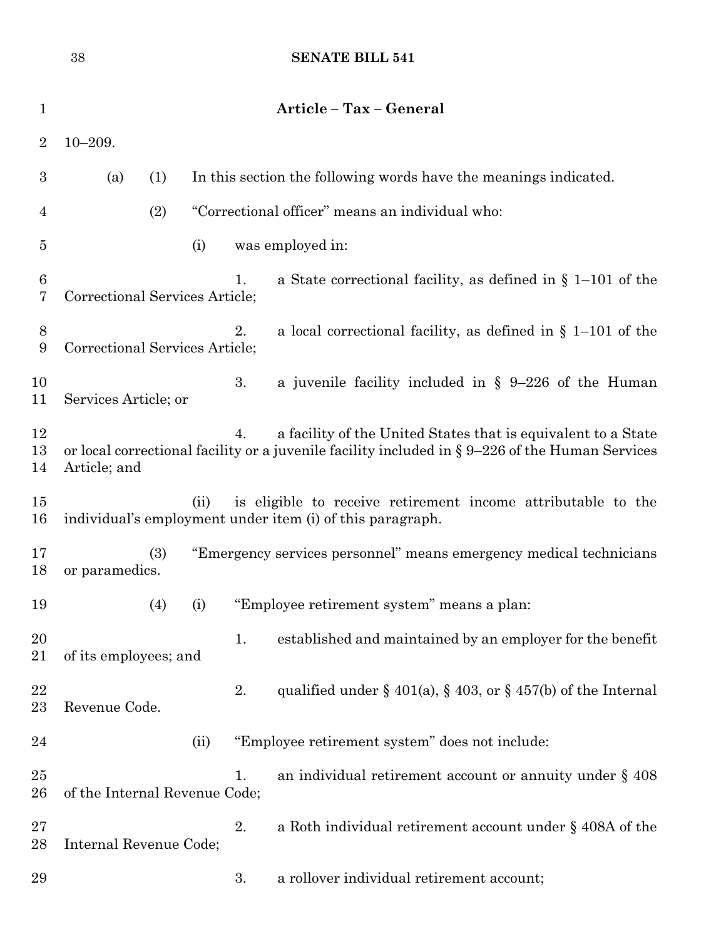|                  | 38                             |     |      |    | <b>SENATE BILL 541</b>                                                                                                                                              |
|------------------|--------------------------------|-----|------|----|---------------------------------------------------------------------------------------------------------------------------------------------------------------------|
| $\mathbf 1$      |                                |     |      |    | Article - Tax - General                                                                                                                                             |
| $\overline{2}$   | $10 - 209.$                    |     |      |    |                                                                                                                                                                     |
| $\boldsymbol{3}$ | (a)                            | (1) |      |    | In this section the following words have the meanings indicated.                                                                                                    |
| 4                |                                | (2) |      |    | "Correctional officer" means an individual who:                                                                                                                     |
| 5                |                                |     | (i)  |    | was employed in:                                                                                                                                                    |
| 6<br>7           | Correctional Services Article; |     |      | 1. | a State correctional facility, as defined in $\S$ 1–101 of the                                                                                                      |
| 8<br>9           | Correctional Services Article; |     |      | 2. | a local correctional facility, as defined in $\S$ 1-101 of the                                                                                                      |
| 10<br>11         | Services Article; or           |     |      | 3. | a juvenile facility included in $\S$ 9-226 of the Human                                                                                                             |
| 12<br>13<br>14   | Article; and                   |     |      | 4. | a facility of the United States that is equivalent to a State<br>or local correctional facility or a juvenile facility included in $\S 9-226$ of the Human Services |
| $15\,$<br>16     |                                |     | (ii) |    | is eligible to receive retirement income attributable to the<br>individual's employment under item (i) of this paragraph.                                           |
| 17<br>18         | or paramedics.                 | (3) |      |    | "Emergency services personnel" means emergency medical technicians                                                                                                  |
| 19               |                                | (4) | (i)  |    | "Employee retirement system" means a plan:                                                                                                                          |
| 20<br>21         | of its employees; and          |     |      | 1. | established and maintained by an employer for the benefit                                                                                                           |
| 22<br>23         | Revenue Code.                  |     |      | 2. | qualified under $\S$ 401(a), $\S$ 403, or $\S$ 457(b) of the Internal                                                                                               |
| 24               |                                |     | (ii) |    | "Employee retirement system" does not include:                                                                                                                      |
| 25<br>26         | of the Internal Revenue Code;  |     |      | 1. | an individual retirement account or annuity under $\S$ 408                                                                                                          |
| $27\,$<br>28     | Internal Revenue Code;         |     |      | 2. | a Roth individual retirement account under $\S$ 408A of the                                                                                                         |
| 29               |                                |     |      | 3. | a rollover individual retirement account;                                                                                                                           |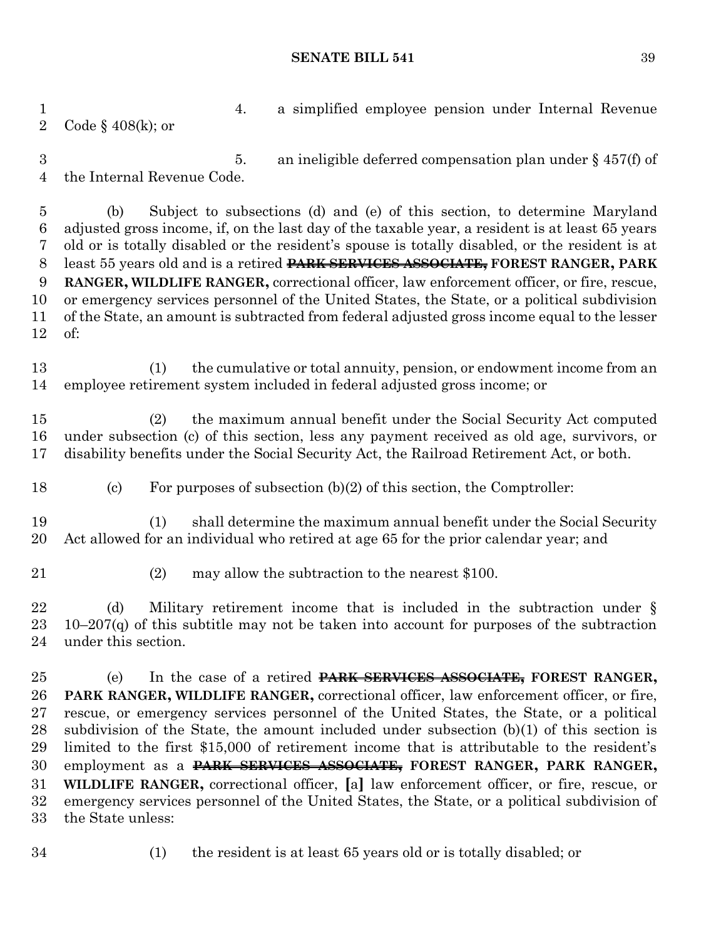4. a simplified employee pension under Internal Revenue Code § 408(k); or 5. an ineligible deferred compensation plan under § 457(f) of the Internal Revenue Code. (b) Subject to subsections (d) and (e) of this section, to determine Maryland adjusted gross income, if, on the last day of the taxable year, a resident is at least 65 years old or is totally disabled or the resident's spouse is totally disabled, or the resident is at least 55 years old and is a retired **PARK SERVICES ASSOCIATE, FOREST RANGER, PARK RANGER, WILDLIFE RANGER,** correctional officer, law enforcement officer, or fire, rescue, or emergency services personnel of the United States, the State, or a political subdivision of the State, an amount is subtracted from federal adjusted gross income equal to the lesser of: (1) the cumulative or total annuity, pension, or endowment income from an employee retirement system included in federal adjusted gross income; or (2) the maximum annual benefit under the Social Security Act computed under subsection (c) of this section, less any payment received as old age, survivors, or disability benefits under the Social Security Act, the Railroad Retirement Act, or both. (c) For purposes of subsection (b)(2) of this section, the Comptroller: (1) shall determine the maximum annual benefit under the Social Security Act allowed for an individual who retired at age 65 for the prior calendar year; and (2) may allow the subtraction to the nearest \$100. (d) Military retirement income that is included in the subtraction under § 10–207(q) of this subtitle may not be taken into account for purposes of the subtraction under this section. (e) In the case of a retired **PARK SERVICES ASSOCIATE, FOREST RANGER, PARK RANGER, WILDLIFE RANGER,** correctional officer, law enforcement officer, or fire, rescue, or emergency services personnel of the United States, the State, or a political subdivision of the State, the amount included under subsection (b)(1) of this section is limited to the first \$15,000 of retirement income that is attributable to the resident's employment as a **PARK SERVICES ASSOCIATE, FOREST RANGER, PARK RANGER, WILDLIFE RANGER,** correctional officer, **[**a**]** law enforcement officer, or fire, rescue, or emergency services personnel of the United States, the State, or a political subdivision of the State unless:

(1) the resident is at least 65 years old or is totally disabled; or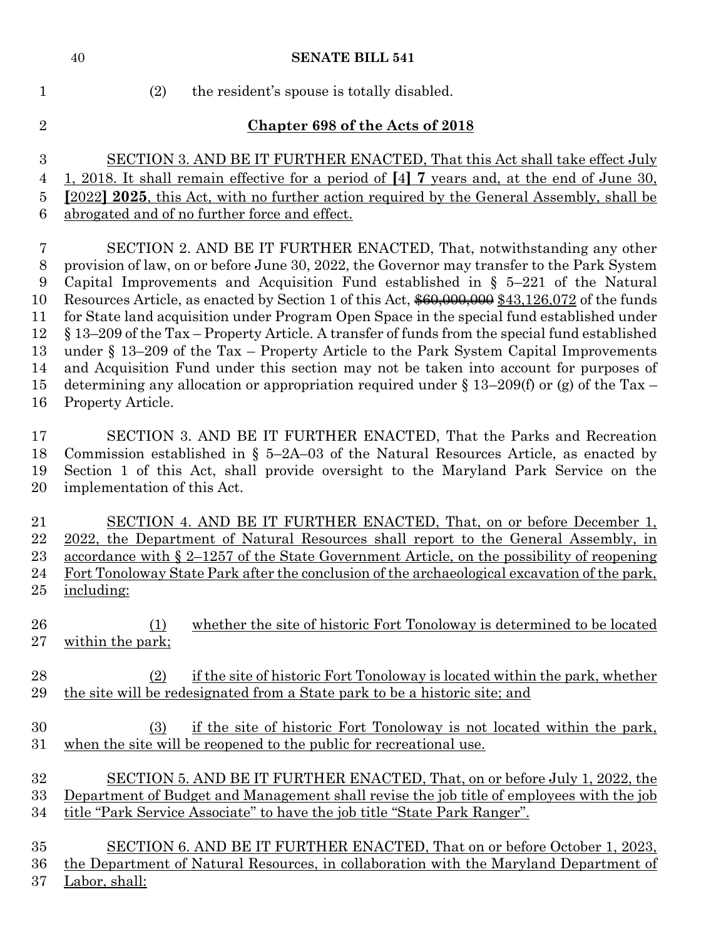| $\mathbf{1}$   | (2)<br>the resident's spouse is totally disabled.                                                                                                               |
|----------------|-----------------------------------------------------------------------------------------------------------------------------------------------------------------|
| $\overline{2}$ | <b>Chapter 698 of the Acts of 2018</b>                                                                                                                          |
| 3              | SECTION 3. AND BE IT FURTHER ENACTED, That this Act shall take effect July                                                                                      |
| 4              | <u>1, 2018. It shall remain effective for a period of [4] 7 years and, at the end of June 30,</u>                                                               |
| $\overline{5}$ | [2022] 2025, this Act, with no further action required by the General Assembly, shall be                                                                        |
| 6              | abrogated and of no further force and effect.                                                                                                                   |
| $\overline{7}$ | SECTION 2. AND BE IT FURTHER ENACTED, That, notwithstanding any other                                                                                           |
| $8\,$          | provision of law, on or before June 30, 2022, the Governor may transfer to the Park System                                                                      |
| 9              | Capital Improvements and Acquisition Fund established in $\S$ 5-221 of the Natural                                                                              |
| 10             | Resources Article, as enacted by Section 1 of this Act, $$60,000,000 $43,126,072$ of the funds                                                                  |
| 11             | for State land acquisition under Program Open Space in the special fund established under                                                                       |
| 12             | § 13-209 of the Tax - Property Article. A transfer of funds from the special fund established                                                                   |
| 13             | under $\S$ 13–209 of the Tax – Property Article to the Park System Capital Improvements                                                                         |
| 14             | and Acquisition Fund under this section may not be taken into account for purposes of                                                                           |
| 15             | determining any allocation or appropriation required under $\S 13-209(f)$ or (g) of the Tax -                                                                   |
| 16             | Property Article.                                                                                                                                               |
| 17             | SECTION 3. AND BE IT FURTHER ENACTED, That the Parks and Recreation                                                                                             |
| 18             | Commission established in $\S$ 5-2A-03 of the Natural Resources Article, as enacted by                                                                          |
| 19             | Section 1 of this Act, shall provide oversight to the Maryland Park Service on the                                                                              |
| 20             | implementation of this Act.                                                                                                                                     |
| 21             | SECTION 4. AND BE IT FURTHER ENACTED, That, on or before December 1,                                                                                            |
| 22             | 2022, the Department of Natural Resources shall report to the General Assembly, in                                                                              |
| 23             | <u>accordance with <math>\S 2</math>–1257 of the State Government Article, on the possibility of reopening</u>                                                  |
| 24             | Fort Tonoloway State Park after the conclusion of the archaeological excavation of the park,                                                                    |
| 25             | including:                                                                                                                                                      |
| 26<br>27       | whether the site of historic Fort Tonoloway is determined to be located<br>(1)<br>within the park;                                                              |
| 28<br>29       | if the site of historic Fort Tonoloway is located within the park, whether<br>(2)<br>the site will be redesignated from a State park to be a historic site; and |
| 30<br>31       | if the site of historic Fort Tonoloway is not located within the park,<br>(3)<br>when the site will be reopened to the public for recreational use.             |
| 32             | SECTION 5. AND BE IT FURTHER ENACTED, That, on or before July 1, 2022, the                                                                                      |
| 33             | Department of Budget and Management shall revise the job title of employees with the job                                                                        |
| 34             | title "Park Service Associate" to have the job title "State Park Ranger".                                                                                       |
| 35             | SECTION 6. AND BE IT FURTHER ENACTED, That on or before October 1, 2023,                                                                                        |
| 36             | the Department of Natural Resources, in collaboration with the Maryland Department of                                                                           |
| 37             | Labor, shall:                                                                                                                                                   |